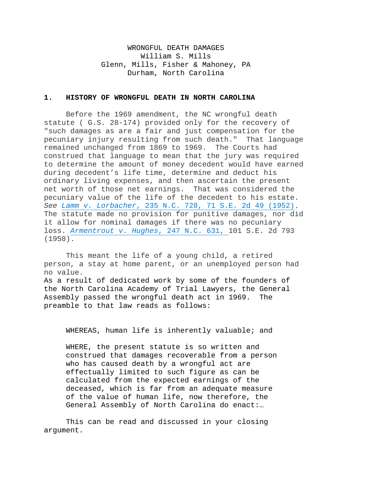WRONGFUL DEATH DAMAGES William S. Mills Glenn, Mills, Fisher & Mahoney, PA Durham, North Carolina

#### **1. HISTORY OF WRONGFUL DEATH IN NORTH CAROLINA**

Before the 1969 amendment, the NC wrongful death statute ( G.S. 28-174) provided only for the recovery of "such damages as are a fair and just compensation for the pecuniary injury resulting from such death." That language remained unchanged from 1869 to 1969. The Courts had construed that language to mean that the jury was required to determine the amount of money decedent would have earned during decedent's life time, determine and deduct his ordinary living expenses, and then ascertain the present net worth of those net earnings. That was considered the pecuniary value of the life of the decedent to his estate. *See Lamm v. Lorbacher*[, 235 N.C. 728, 71 S.E. 2d 49 \(1952\).](https://advance.lexis.com/document/teaserdocument/?pdmfid=1000516&crid=bcbc68a3-fadf-461e-aa71-db901acfb5bc&pdteaserkey=h1&ecomp=z4ntk&earg=sr8&prid=15cf7bec-632f-4fb6-9ecc-bad9fac789ba) The statute made no provision for punitive damages, nor did it allow for nominal damages if there was no pecuniary loss. *[Armentrout v. Hughes](https://advance.lexis.com/document/teaserdocument/?pdmfid=1000516&crid=bcbc68a3-fadf-461e-aa71-db901acfb5bc&pdteaserkey=h1&ecomp=z4ntk&earg=sr8&prid=15cf7bec-632f-4fb6-9ecc-bad9fac789ba)*, 247 N.C. 631, 101 S.E. 2d 793 (1958).

This meant the life of a young child, a retired person, a stay at home parent, or an unemployed person had no value. As a result of dedicated work by some of the founders of the North Carolina Academy of Trial Lawyers, the General Assembly passed the wrongful death act in 1969. The preamble to that law reads as follows:

WHEREAS, human life is inherently valuable; and

WHERE, the present statute is so written and construed that damages recoverable from a person who has caused death by a wrongful act are effectually limited to such figure as can be calculated from the expected earnings of the deceased, which is far from an adequate measure of the value of human life, now therefore, the General Assembly of North Carolina do enact:…

This can be read and discussed in your closing argument.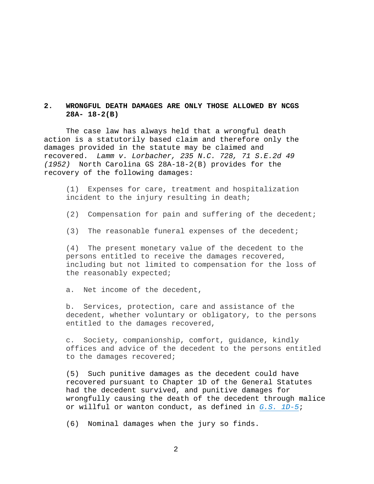### **2. WRONGFUL DEATH DAMAGES ARE ONLY THOSE ALLOWED BY NCGS 28A- 18-2(B)**

The case law has always held that a wrongful death action is a statutorily based claim and therefore only the damages provided in the statute may be claimed and recovered. *Lamm v. Lorbacher, 235 N.C. 728, 71 S.E.2d 49 (1952)* North Carolina GS 28A-18-2(B) provides for the recovery of the following damages:

(1) Expenses for care, treatment and hospitalization incident to the injury resulting in death;

(2) Compensation for pain and suffering of the decedent;

(3) The reasonable funeral expenses of the decedent;

(4) The present monetary value of the decedent to the persons entitled to receive the damages recovered, including but not limited to compensation for the loss of the reasonably expected;

a. Net income of the decedent,

b. Services, protection, care and assistance of the decedent, whether voluntary or obligatory, to the persons entitled to the damages recovered,

c. Society, companionship, comfort, guidance, kindly offices and advice of the decedent to the persons entitled to the damages recovered;

(5) Such punitive damages as the decedent could have recovered pursuant to Chapter 1D of the General Statutes had the decedent survived, and punitive damages for wrongfully causing the death of the decedent through malice or willful or wanton conduct, as defined in *[G.S. 1D-5](https://advance.lexis.com/api/document?collection=statutes-legislation&id=urn:contentItem:5N29-N1V0-004F-P3DB-00000-00&context=)*;

(6) Nominal damages when the jury so finds.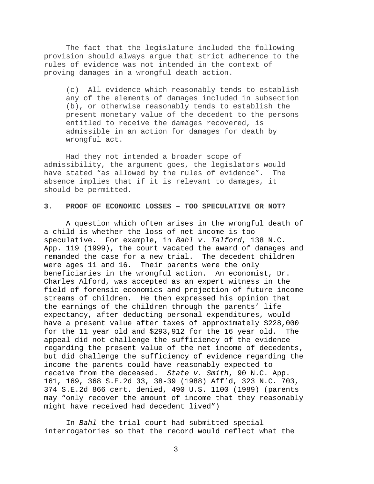The fact that the legislature included the following provision should always argue that strict adherence to the rules of evidence was not intended in the context of proving damages in a wrongful death action.

(c) All evidence which reasonably tends to establish any of the elements of damages included in subsection (b), or otherwise reasonably tends to establish the present monetary value of the decedent to the persons entitled to receive the damages recovered, is admissible in an action for damages for death by wrongful act.

Had they not intended a broader scope of admissibility, the argument goes, the legislators would have stated "as allowed by the rules of evidence". The absence implies that if it is relevant to damages, it should be permitted.

#### **3. PROOF OF ECONOMIC LOSSES – TOO SPECULATIVE OR NOT?**

A question which often arises in the wrongful death of a child is whether the loss of net income is too speculative. For example, in *Bahl v. Talford*, 138 N.C. App. 119 (1999), the court vacated the award of damages and remanded the case for a new trial. The decedent children were ages 11 and 16. Their parents were the only beneficiaries in the wrongful action. An economist, Dr. Charles Alford, was accepted as an expert witness in the field of forensic economics and projection of future income streams of children. He then expressed his opinion that the earnings of the children through the parents' life expectancy, after deducting personal expenditures, would have a present value after taxes of approximately \$228,000 for the 11 year old and \$293,912 for the 16 year old. The appeal did not challenge the sufficiency of the evidence regarding the present value of the net income of decedents, but did challenge the sufficiency of evidence regarding the income the parents could have reasonably expected to receive from the deceased. *State v. Smith*, 90 N.C. App. 161, 169, 368 S.E.2d 33, 38-39 (1988) Aff'd, 323 N.C. 703, 374 S.E.2d 866 cert. denied, 490 U.S. 1100 (1989) (parents may "only recover the amount of income that they reasonably might have received had decedent lived")

In *Bahl* the trial court had submitted special interrogatories so that the record would reflect what the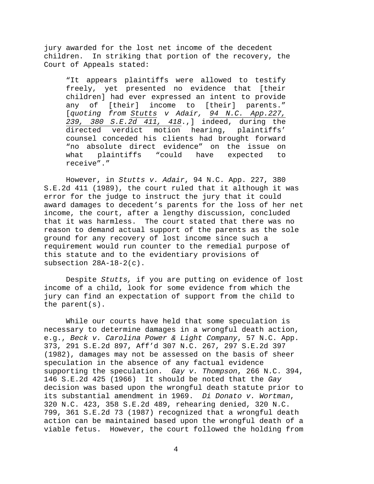jury awarded for the lost net income of the decedent children. In striking that portion of the recovery, the Court of Appeals stated:

"It appears plaintiffs were allowed to testify freely, yet presented no evidence that [their children] had ever expressed an intent to provide any of [their] income to [their] parents." [*quoting from [Stutts](https://advance.lexis.com/api/document?collection=cases&id=urn:contentItem:3S3K-0G80-003G-02JJ-00000-00&context=) v Adair, 94 N.C. App.227, 239, 380 S.E.2d 411, 418*.,] indeed, during the motion hearing, plaintiffs' counsel conceded his clients had brought forward "no absolute direct evidence" on the issue on<br>what plaintiffs "could have expected to plaintiffs "could have expected to receive"."

However, in *Stutts v. Adair*, 94 N.C. App. 227, 380 S.E.2d 411 (1989), the court ruled that it although it was error for the judge to instruct the jury that it could award damages to decedent's parents for the loss of her net income, the court, after a lengthy discussion, concluded that it was harmless. The court stated that there was no reason to demand actual support of the parents as the sole ground for any recovery of lost income since such a requirement would run counter to the remedial purpose of this statute and to the evidentiary provisions of subsection 28A-18-2(c).

Despite *Stutts,* if you are putting on evidence of lost income of a child, look for some evidence from which the jury can find an expectation of support from the child to the parent(s).

While our courts have held that some speculation is necessary to determine damages in a wrongful death action, e.g., *Beck v. Carolina Power & Light Company*, 57 N.C. App. 373, 291 S.E.2d 897, Aff'd 307 N.C. 267, 297 S.E.2d 397 (1982), damages may not be assessed on the basis of sheer speculation in the absence of any factual evidence supporting the speculation. *Gay v. Thompson*, 266 N.C. 394, 146 S.E.2d 425 (1966) It should be noted that the *Gay* decision was based upon the wrongful death statute prior to its substantial amendment in 1969. *Di Donato v. Wortman*, 320 N.C. 423, 358 S.E.2d 489, rehearing denied, 320 N.C. 799, 361 S.E.2d 73 (1987) recognized that a wrongful death action can be maintained based upon the wrongful death of a viable fetus. However, the court followed the holding from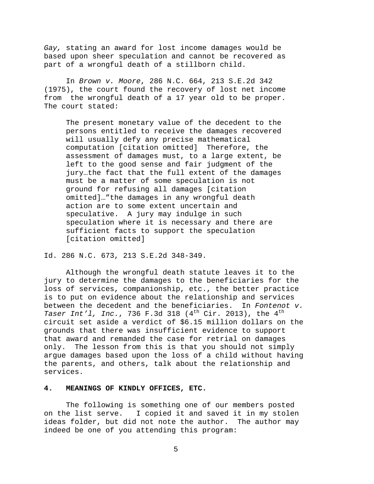*Gay,* stating an award for lost income damages would be based upon sheer speculation and cannot be recovered as part of a wrongful death of a stillborn child.

In *Brown v. Moore*, 286 N.C. 664, 213 S.E.2d 342 (1975), the court found the recovery of lost net income from the wrongful death of a 17 year old to be proper. The court stated:

The present monetary value of the decedent to the persons entitled to receive the damages recovered will usually defy any precise mathematical computation [citation omitted] Therefore, the assessment of damages must, to a large extent, be left to the good sense and fair judgment of the jury…the fact that the full extent of the damages must be a matter of some speculation is not ground for refusing all damages [citation omitted]…"the damages in any wrongful death action are to some extent uncertain and speculative. A jury may indulge in such speculation where it is necessary and there are sufficient facts to support the speculation [citation omitted]

Id. 286 N.C. 673, 213 S.E.2d 348-349.

Although the wrongful death statute leaves it to the jury to determine the damages to the beneficiaries for the loss of services, companionship, etc., the better practice is to put on evidence about the relationship and services between the decedent and the beneficiaries. In *Fontenot v. Taser Int'l, Inc.,* 736 F.3d 318 (4<sup>th</sup> Cir. 2013), the 4<sup>th</sup> circuit set aside a verdict of \$6.15 million dollars on the grounds that there was insufficient evidence to support that award and remanded the case for retrial on damages only. The lesson from this is that you should not simply argue damages based upon the loss of a child without having the parents, and others, talk about the relationship and services.

#### **4. MEANINGS OF KINDLY OFFICES, ETC.**

The following is something one of our members posted on the list serve. I copied it and saved it in my stolen ideas folder, but did not note the author. The author may indeed be one of you attending this program: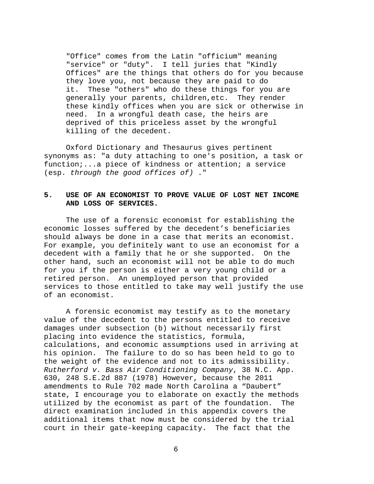"Office" comes from the Latin "officium" meaning "service" or "duty". I tell juries that "Kindly Offices" are the things that others do for you because they love you, not because they are paid to do it. These "others" who do these things for you are generally your parents, children,etc. They render these kindly offices when you are sick or otherwise in need. In a wrongful death case, the heirs are deprived of this priceless asset by the wrongful killing of the decedent.

Oxford Dictionary and Thesaurus gives pertinent synonyms as: "a duty attaching to one's position, a task or function;...a piece of kindness or attention; a service (esp. *through the good offices of)* ."

### **5. USE OF AN ECONOMIST TO PROVE VALUE OF LOST NET INCOME AND LOSS OF SERVICES.**

The use of a forensic economist for establishing the economic losses suffered by the decedent's beneficiaries should always be done in a case that merits an economist. For example, you definitely want to use an economist for a decedent with a family that he or she supported. On the other hand, such an economist will not be able to do much for you if the person is either a very young child or a retired person. An unemployed person that provided services to those entitled to take may well justify the use of an economist.

A forensic economist may testify as to the monetary value of the decedent to the persons entitled to receive damages under subsection (b) without necessarily first placing into evidence the statistics, formula, calculations, and economic assumptions used in arriving at his opinion. The failure to do so has been held to go to the weight of the evidence and not to its admissibility. *Rutherford v. Bass Air Conditioning Company*, 38 N.C. App. 630, 248 S.E.2d 887 (1978) However, because the 2011 amendments to Rule 702 made North Carolina a "Daubert" state, I encourage you to elaborate on exactly the methods utilized by the economist as part of the foundation. The direct examination included in this appendix covers the additional items that now must be considered by the trial court in their gate-keeping capacity. The fact that the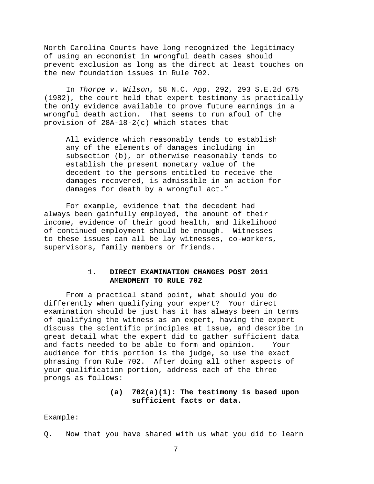North Carolina Courts have long recognized the legitimacy of using an economist in wrongful death cases should prevent exclusion as long as the direct at least touches on the new foundation issues in Rule 702.

In *Thorpe v. Wilson*, 58 N.C. App. 292, 293 S.E.2d 675 (1982), the court held that expert testimony is practically the only evidence available to prove future earnings in a wrongful death action. That seems to run afoul of the provision of 28A-18-2(c) which states that

All evidence which reasonably tends to establish any of the elements of damages including in subsection (b), or otherwise reasonably tends to establish the present monetary value of the decedent to the persons entitled to receive the damages recovered, is admissible in an action for damages for death by a wrongful act."

For example, evidence that the decedent had always been gainfully employed, the amount of their income, evidence of their good health, and likelihood of continued employment should be enough. Witnesses to these issues can all be lay witnesses, co-workers, supervisors, family members or friends.

### 1. **DIRECT EXAMINATION CHANGES POST 2011 AMENDMENT TO RULE 702**

From a practical stand point, what should you do differently when qualifying your expert? Your direct examination should be just has it has always been in terms of qualifying the witness as an expert, having the expert discuss the scientific principles at issue, and describe in great detail what the expert did to gather sufficient data and facts needed to be able to form and opinion. Your audience for this portion is the judge, so use the exact phrasing from Rule 702. After doing all other aspects of your qualification portion, address each of the three prongs as follows:

#### **(a) 702(a)(1): The testimony is based upon sufficient facts or data.**

#### Example:

Q. Now that you have shared with us what you did to learn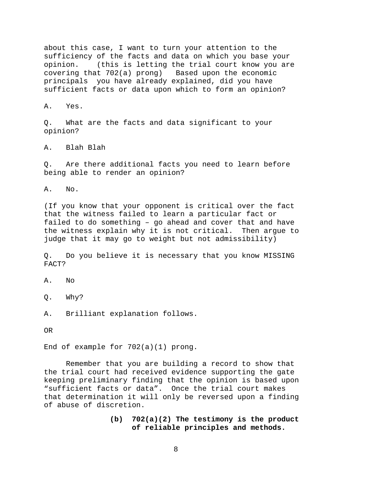about this case, I want to turn your attention to the sufficiency of the facts and data on which you base your<br>opinion. (this is letting the trial court know you are (this is letting the trial court know you are covering that 702(a) prong) Based upon the economic principals you have already explained, did you have sufficient facts or data upon which to form an opinion?

A. Yes.

Q. What are the facts and data significant to your opinion?

A. Blah Blah

Q. Are there additional facts you need to learn before being able to render an opinion?

A. No.

(If you know that your opponent is critical over the fact that the witness failed to learn a particular fact or failed to do something – go ahead and cover that and have the witness explain why it is not critical. Then argue to judge that it may go to weight but not admissibility)

Q. Do you believe it is necessary that you know MISSING FACT?

A. No

- Q. Why?
- A. Brilliant explanation follows.

OR

End of example for 702(a)(1) prong.

Remember that you are building a record to show that the trial court had received evidence supporting the gate keeping preliminary finding that the opinion is based upon "sufficient facts or data". Once the trial court makes that determination it will only be reversed upon a finding of abuse of discretion.

> **(b) 702(a)(2) The testimony is the product of reliable principles and methods.**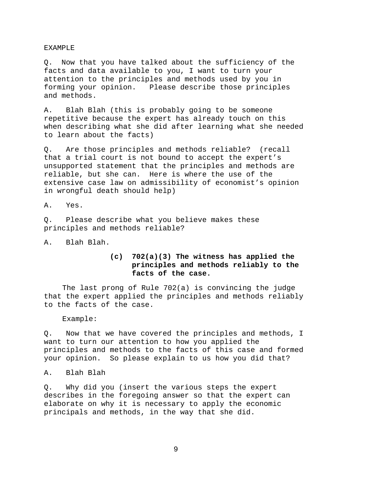#### EXAMPLE

Q. Now that you have talked about the sufficiency of the facts and data available to you, I want to turn your attention to the principles and methods used by you in<br>forming your opinion. Please describe those principle Please describe those principles and methods.

A. Blah Blah (this is probably going to be someone repetitive because the expert has already touch on this when describing what she did after learning what she needed to learn about the facts)

Q. Are those principles and methods reliable? (recall that a trial court is not bound to accept the expert's unsupported statement that the principles and methods are reliable, but she can. Here is where the use of the extensive case law on admissibility of economist's opinion in wrongful death should help)

#### A. Yes.

Q. Please describe what you believe makes these principles and methods reliable?

A. Blah Blah.

### **(c) 702(a)(3) The witness has applied the principles and methods reliably to the facts of the case.**

The last prong of Rule 702(a) is convincing the judge that the expert applied the principles and methods reliably to the facts of the case.

#### Example:

Q. Now that we have covered the principles and methods, I want to turn our attention to how you applied the principles and methods to the facts of this case and formed your opinion. So please explain to us how you did that?

#### A. Blah Blah

Q. Why did you (insert the various steps the expert describes in the foregoing answer so that the expert can elaborate on why it is necessary to apply the economic principals and methods, in the way that she did.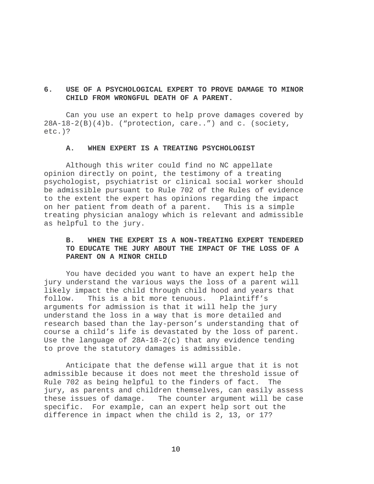#### **6. USE OF A PSYCHOLOGICAL EXPERT TO PROVE DAMAGE TO MINOR CHILD FROM WRONGFUL DEATH OF A PARENT.**

Can you use an expert to help prove damages covered by 28A-18-2(B)(4)b. ("protection, care..") and c. (society, etc.)?

#### **A. WHEN EXPERT IS A TREATING PSYCHOLOGIST**

Although this writer could find no NC appellate opinion directly on point, the testimony of a treating psychologist, psychiatrist or clinical social worker should be admissible pursuant to Rule 702 of the Rules of evidence to the extent the expert has opinions regarding the impact on her patient from death of a parent. This is a simple treating physician analogy which is relevant and admissible as helpful to the jury.

### **B. WHEN THE EXPERT IS A NON-TREATING EXPERT TENDERED TO EDUCATE THE JURY ABOUT THE IMPACT OF THE LOSS OF A PARENT ON A MINOR CHILD**

You have decided you want to have an expert help the jury understand the various ways the loss of a parent will likely impact the child through child hood and years that<br>follow. This is a bit more tenuous. Plaintiff's follow. This is a bit more tenuous. arguments for admission is that it will help the jury understand the loss in a way that is more detailed and research based than the lay-person's understanding that of course a child's life is devastated by the loss of parent. Use the language of  $28A-18-2(c)$  that any evidence tending to prove the statutory damages is admissible.

Anticipate that the defense will argue that it is not admissible because it does not meet the threshold issue of Rule 702 as being helpful to the finders of fact. The jury, as parents and children themselves, can easily assess these issues of damage. The counter argument will be case specific. For example, can an expert help sort out the difference in impact when the child is 2, 13, or 17?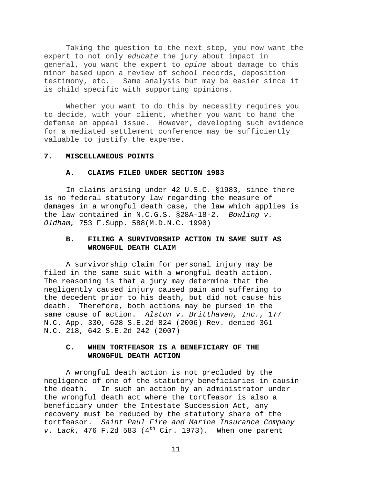Taking the question to the next step, you now want the expert to not only *educate* the jury about impact in general, you want the expert to *opine* about damage to this minor based upon a review of school records, deposition testimony, etc. Same analysis but may be easier since it is child specific with supporting opinions.

Whether you want to do this by necessity requires you to decide, with your client, whether you want to hand the defense an appeal issue. However, developing such evidence for a mediated settlement conference may be sufficiently valuable to justify the expense.

#### **7. MISCELLANEOUS POINTS**

#### **A. CLAIMS FILED UNDER SECTION 1983**

In claims arising under 42 U.S.C. §1983, since there is no federal statutory law regarding the measure of damages in a wrongful death case, the law which applies is<br>the law contained in N.C.G.S.  $\S 28A-18-2$ . Bowling v. the law contained in N.C.G.S. §28A-18-2. *Oldham,* 753 F.Supp. 588(M.D.N.C. 1990)

### **B. FILING A SURVIVORSHIP ACTION IN SAME SUIT AS WRONGFUL DEATH CLAIM**

A survivorship claim for personal injury may be filed in the same suit with a wrongful death action. The reasoning is that a jury may determine that the negligently caused injury caused pain and suffering to the decedent prior to his death, but did not cause his death. Therefore, both actions may be pursed in the same cause of action. *Alston v. Britthaven, Inc.*, 177 N.C. App. 330, 628 S.E.2d 824 (2006) Rev. denied 361 N.C. 218, 642 S.E.2d 242 (2007)

### **C. WHEN TORTFEASOR IS A BENEFICIARY OF THE WRONGFUL DEATH ACTION**

A wrongful death action is not precluded by the negligence of one of the statutory beneficiaries in causin<br>the death. In such an action by an administrator under In such an action by an administrator under the wrongful death act where the tortfeasor is also a beneficiary under the Intestate Succession Act, any recovery must be reduced by the statutory share of the tortfeasor. *Saint Paul Fire and Marine Insurance Company v. Lack,* 476 F.2d 583 ( $4<sup>th</sup>$  Cir. 1973). When one parent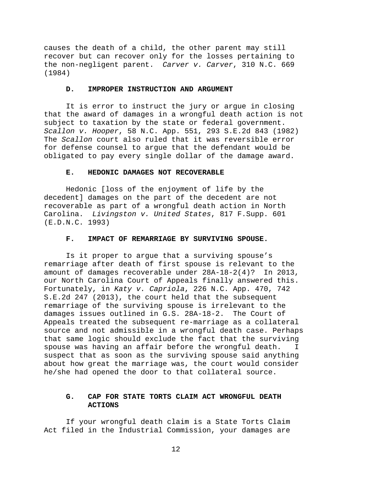causes the death of a child, the other parent may still recover but can recover only for the losses pertaining to the non-negligent parent. *Carver v. Carver*, 310 N.C. 669 (1984)

#### **D. IMPROPER INSTRUCTION AND ARGUMENT**

It is error to instruct the jury or argue in closing that the award of damages in a wrongful death action is not subject to taxation by the state or federal government. *Scallon v. Hooper*, 58 N.C. App. 551, 293 S.E.2d 843 (1982) The *Scallon* court also ruled that it was reversible error for defense counsel to argue that the defendant would be obligated to pay every single dollar of the damage award.

#### **E. HEDONIC DAMAGES NOT RECOVERABLE**

Hedonic [loss of the enjoyment of life by the decedent] damages on the part of the decedent are not recoverable as part of a wrongful death action in North Carolina. *Livingston v. United States*, 817 F.Supp. 601 (E.D.N.C. 1993)

#### **F. IMPACT OF REMARRIAGE BY SURVIVING SPOUSE.**

Is it proper to argue that a surviving spouse's remarriage after death of first spouse is relevant to the amount of damages recoverable under 28A-18-2(4)? In 2013, our North Carolina Court of Appeals finally answered this. Fortunately, in *Katy v. Capriola*, 226 N.C. App. 470, 742 S.E.2d 247 (2013), the court held that the subsequent remarriage of the surviving spouse is irrelevant to the damages issues outlined in G.S. 28A-18-2. The Court of Appeals treated the subsequent re-marriage as a collateral source and not admissible in a wrongful death case. Perhaps that same logic should exclude the fact that the surviving spouse was having an affair before the wrongful death. I suspect that as soon as the surviving spouse said anything about how great the marriage was, the court would consider he/she had opened the door to that collateral source.

### **G. CAP FOR STATE TORTS CLAIM ACT WRONGFUL DEATH ACTIONS**

If your wrongful death claim is a State Torts Claim Act filed in the Industrial Commission, your damages are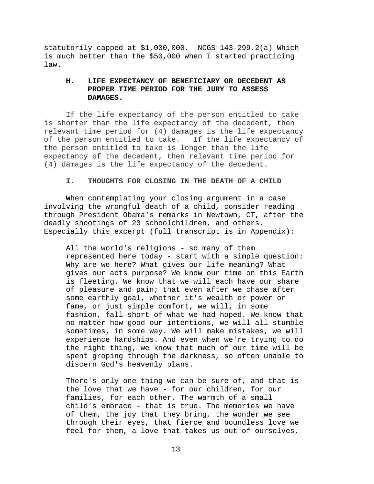statutorily capped at \$1,000,000. NCGS 143-299.2(a) Which is much better than the \$50,000 when I started practicing law.

### **H. LIFE EXPECTANCY OF BENEFICIARY OR DECEDENT AS PROPER TIME PERIOD FOR THE JURY TO ASSESS DAMAGES.**

If the life expectancy of the person entitled to take is shorter than the life expectancy of the decedent, then relevant time period for (4) damages is the life expectancy of the person entitled to take. If the life expectancy of the person entitled to take is longer than the life expectancy of the decedent, then relevant time period for (4) damages is the life expectancy of the decedent.

#### **I. THOUGHTS FOR CLOSING IN THE DEATH OF A CHILD**

When contemplating your closing argument in a case involving the wrongful death of a child, consider reading through President Obama's remarks in Newtown, CT, after the deadly shootings of 20 schoolchildren, and others. Especially this excerpt (full transcript is in Appendix):

All the world's religions - so many of them represented here today - start with a simple question: Why are we here? What gives our life meaning? What gives our acts purpose? We know our time on this Earth is fleeting. We know that we will each have our share of pleasure and pain; that even after we chase after some earthly goal, whether it's wealth or power or fame, or just simple comfort, we will, in some fashion, fall short of what we had hoped. We know that no matter how good our intentions, we will all stumble sometimes, in some way. We will make mistakes, we will experience hardships. And even when we're trying to do the right thing, we know that much of our time will be spent groping through the darkness, so often unable to discern God's heavenly plans.

There's only one thing we can be sure of, and that is the love that we have - for our children, for our families, for each other. The warmth of a small child's embrace - that is true. The memories we have of them, the joy that they bring, the wonder we see through their eyes, that fierce and boundless love we feel for them, a love that takes us out of ourselves,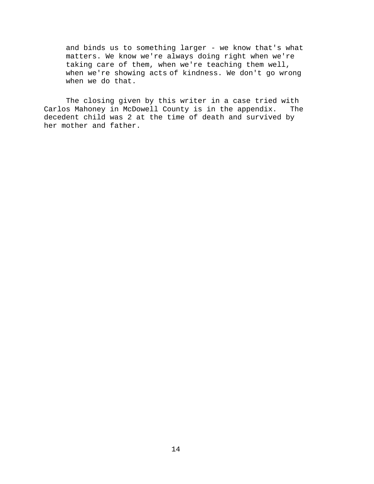and binds us to something larger - we know that's what matters. We know we're always doing right when we're taking care of them, when we're teaching them well, when we're showing acts of kindness. We don't go wrong when we do that.

The closing given by this writer in a case tried with<br>So Mahoney in McDowell County is in the appendix. The Carlos Mahoney in McDowell County is in the appendix. decedent child was 2 at the time of death and survived by her mother and father.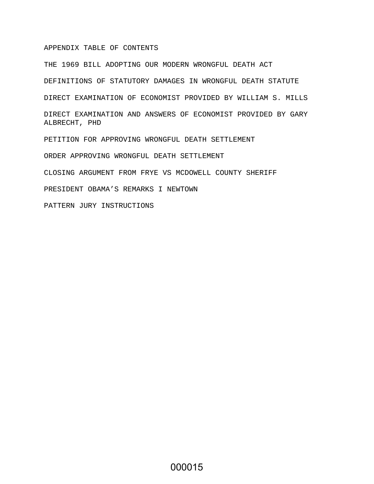#### APPENDIX TABLE OF CONTENTS

THE 1969 BILL ADOPTING OUR MODERN WRONGFUL DEATH ACT DEFINITIONS OF STATUTORY DAMAGES IN WRONGFUL DEATH STATUTE DIRECT EXAMINATION OF ECONOMIST PROVIDED BY WILLIAM S. MILLS DIRECT EXAMINATION AND ANSWERS OF ECONOMIST PROVIDED BY GARY ALBRECHT, PHD PETITION FOR APPROVING WRONGFUL DEATH SETTLEMENT ORDER APPROVING WRONGFUL DEATH SETTLEMENT CLOSING ARGUMENT FROM FRYE VS MCDOWELL COUNTY SHERIFF PRESIDENT OBAMA'S REMARKS I NEWTOWN PATTERN JURY INSTRUCTIONS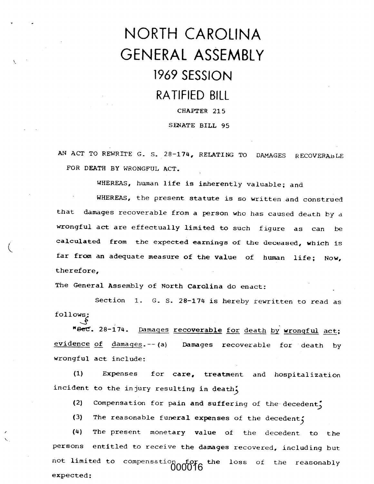# NORTH CAROLINA **GENERAL ASSEMBLY** 1969 SESSION RATIFIED BILL CHAPTER 215

SENATE BILL 95

AN ACT TO REWRITE G. S. 28-174, RELATING TO DAMAGES RECOVERABLE FOR DEATH BY WRONGFUL ACT.

WHEREAS, human life is inherently valuable; and

WHEREAS, the present statute is so written and construed that damages recoverable from a person who has caused death by a wrongful act are effectually limited to such figure as can be calculated from the expected earnings of the deceased, which is far from an adequate measure of the value of human life; Now, therefore.

The General Assembly of North Carolina do enact:

Section 1. G. S. 28-174 is hereby rewritten to read as follows;

"Get. 28-174. Damages recoverable for death by wrongful act; evidence of damages.-- (a) Damages recoverable for death by wrongful act include:

 $(1)$ Expenses for care, treatment and hospitalization incident to the injury resulting in death;

 $(2)$ Compensation for pain and suffering of the decedent,

The reasonable funeral expenses of the decedent;  $(3)$ 

 $(4)$ The present monetary value of the decedent to the entitled to receive the damages recovered, including but persons not limited to compensation for the<br>000016 loss of the reasonably expected: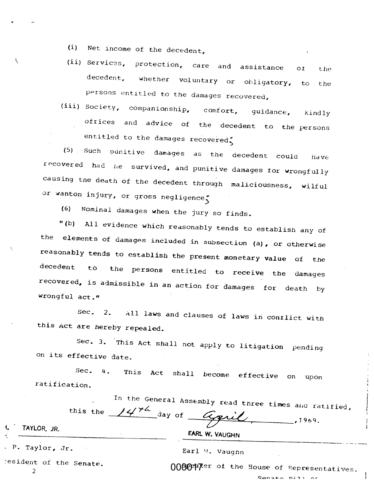(i) Net income of the decedent,

j

- (ii) Services, protection, care and assistance  $ot$ the decedent, whether voluntary or obligatory, to the persons entitled to the damages recovered,
- (iii) Society, companionship, comfort, guidance, kindly ofrices and advice of the decedent to the persons entitled to the damages recovered.

(5) Such punitive damages as the decedent could ha ve recovered had he survived, and punitive damages for wrongfully causing tne death of the decedent through maliciousness, wilful or wanton injury, or gross negligence;

 $(6)$ Nominal damages when the jury so finds.

"(b) All evidence which reasonably tends to establish any of the elements of damages included in subsection (a), or otherwise reasonably tends to establish the present monetary value of the decedent to the persons entitled to receive the damages recovered, is admissible in an action for damages for death by wrongful act."

 $Sec. 2.$ All laws and clauses of laws in contlict with this Act are hereby repealed.

Sec. 3. This Act shall not apply to litigation pending on its effective date.

 $sec.$  $4<sup>2</sup>$ This Act shall become effective on upon ratification.

| $\ddot{\mathbf{A}}$<br>TAYLOR, JR. | In the General Assembly read three times and ratified,<br>this the 14th day of Agril<br>.1969.<br>EARL W. VAUGHN |
|------------------------------------|------------------------------------------------------------------------------------------------------------------|
| P. Taylor.                         | Earl W. Vaughn                                                                                                   |
| resident of the Senate.            | MOPPPPRer of the House of Representatives<br>GansA <sub>n</sub>                                                  |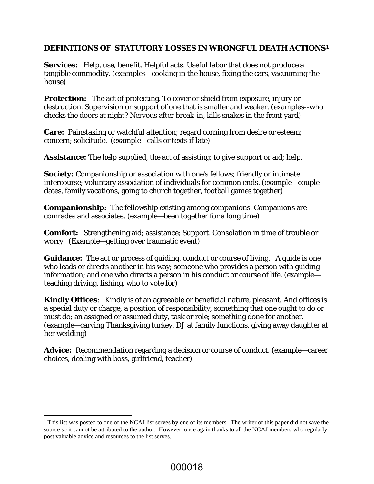# **DEFINITIONS OF STATUTORY LOSSES IN WRONGFUL DEATH ACTIONS[1](#page-17-0)**

**Services:** Help, use, benefit. Helpful acts. Useful labor that does not produce a tangible commodity. (examples—cooking in the house, fixing the cars, vacuuming the house)

**Protection:** The act of protecting. To cover or shield from exposure, injury or destruction. Supervision or support of one that is smaller and weaker. (examples--who checks the doors at night? Nervous after break-in, kills snakes in the front yard)

**Care:** Painstaking or watchful attention; regard corning from desire or esteem; concern; solicitude. (example—calls or texts if late)

**Assistance:** The help supplied, the act of assisting; to give support or aid; help.

**Society:** Companionship or association with one's fellows; friendly or intimate intercourse; voluntary association of individuals for common ends. (example—couple dates, family vacations, going to church together, football games together)

**Companionship:** The fellowship existing among companions. Companions are comrades and associates. (example—been together for a long time)

**Comfort:** Strengthening aid; assistance; Support. Consolation in time of trouble or worry. (Example—getting over traumatic event)

**Guidance:** The act or process of guiding. conduct or course of living. A guide is one who leads or directs another in his way; someone who provides a person with guiding information; and one who directs a person in his conduct or course of life. (example teaching driving, fishing, who to vote for)

**Kindly Offices**: Kindly is of an agreeable or beneficial nature, pleasant. And offices is a special duty or charge; a position of responsibility; something that one ought to do or must do; an assigned or assumed duty, task or role; something done for another. (example—carving Thanksgiving turkey, DJ at family functions, giving away daughter at her wedding)

**Advice:** Recommendation regarding a decision or course of conduct. (example—career choices, dealing with boss, girlfriend, teacher)

 $\overline{a}$ 

<span id="page-17-0"></span><sup>&</sup>lt;sup>1</sup> This list was posted to one of the NCAJ list serves by one of its members. The writer of this paper did not save the source so it cannot be attributed to the author. However, once again thanks to all the NCAJ members who regularly post valuable advice and resources to the list serves.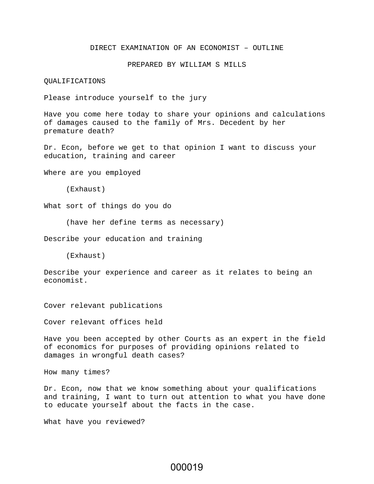#### DIRECT EXAMINATION OF AN ECONOMIST – OUTLINE

#### PREPARED BY WILLIAM S MILLS

#### QUALIFICATIONS

Please introduce yourself to the jury

Have you come here today to share your opinions and calculations of damages caused to the family of Mrs. Decedent by her premature death?

Dr. Econ, before we get to that opinion I want to discuss your education, training and career

Where are you employed

(Exhaust)

What sort of things do you do

(have her define terms as necessary)

Describe your education and training

(Exhaust)

Describe your experience and career as it relates to being an economist.

Cover relevant publications

Cover relevant offices held

Have you been accepted by other Courts as an expert in the field of economics for purposes of providing opinions related to damages in wrongful death cases?

How many times?

Dr. Econ, now that we know something about your qualifications and training, I want to turn out attention to what you have done to educate yourself about the facts in the case.

What have you reviewed?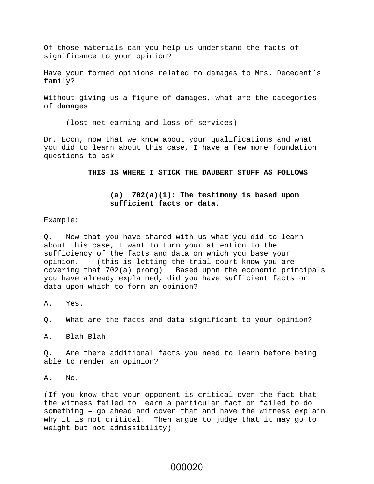Of those materials can you help us understand the facts of significance to your opinion?

Have your formed opinions related to damages to Mrs. Decedent's family?

Without giving us a figure of damages, what are the categories of damages

(lost net earning and loss of services)

Dr. Econ, now that we know about your qualifications and what you did to learn about this case, I have a few more foundation questions to ask

**THIS IS WHERE I STICK THE DAUBERT STUFF AS FOLLOWS** 

### **(a) 702(a)(1): The testimony is based upon sufficient facts or data.**

Example:

Q. Now that you have shared with us what you did to learn about this case, I want to turn your attention to the sufficiency of the facts and data on which you base your<br>opinion. (this is letting the trial court know you are (this is letting the trial court know you are covering that 702(a) prong) Based upon the economic principals you have already explained, did you have sufficient facts or data upon which to form an opinion?

A. Yes.

Q. What are the facts and data significant to your opinion?

A. Blah Blah

Q. Are there additional facts you need to learn before being able to render an opinion?

A. No.

(If you know that your opponent is critical over the fact that the witness failed to learn a particular fact or failed to do something - go ahead and cover that and have the witness explain<br>why it is not critical. Then argue to judge that it may go to Then argue to judge that it may go to weight but not admissibility)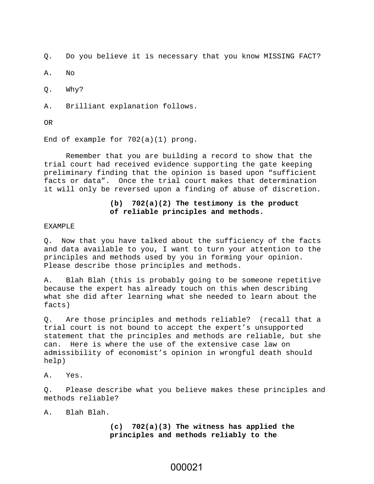Q. Do you believe it is necessary that you know MISSING FACT?

A. No

Q. Why?

A. Brilliant explanation follows.

OR

End of example for 702(a)(1) prong.

 Remember that you are building a record to show that the trial court had received evidence supporting the gate keeping preliminary finding that the opinion is based upon "sufficient facts or data". Once the trial court makes that determination it will only be reversed upon a finding of abuse of discretion.

### **(b) 702(a)(2) The testimony is the product of reliable principles and methods.**

#### EXAMPLE

Q. Now that you have talked about the sufficiency of the facts and data available to you, I want to turn your attention to the principles and methods used by you in forming your opinion. Please describe those principles and methods.

A. Blah Blah (this is probably going to be someone repetitive because the expert has already touch on this when describing what she did after learning what she needed to learn about the facts)

Q. Are those principles and methods reliable? (recall that a trial court is not bound to accept the expert's unsupported statement that the principles and methods are reliable, but she can. Here is where the use of the extensive case law on admissibility of economist's opinion in wrongful death should help)

A. Yes.

Q. Please describe what you believe makes these principles and methods reliable?

A. Blah Blah.

 **(c) 702(a)(3) The witness has applied the principles and methods reliably to the**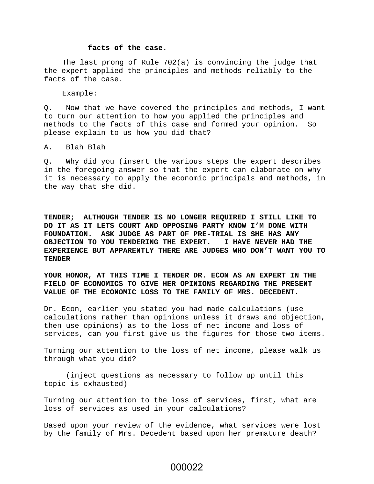#### **facts of the case.**

The last prong of Rule 702(a) is convincing the judge that the expert applied the principles and methods reliably to the facts of the case.

Example:

Q. Now that we have covered the principles and methods, I want to turn our attention to how you applied the principles and methods to the facts of this case and formed your opinion. So please explain to us how you did that?

A. Blah Blah

Q. Why did you (insert the various steps the expert describes in the foregoing answer so that the expert can elaborate on why it is necessary to apply the economic principals and methods, in the way that she did.

**TENDER; ALTHOUGH TENDER IS NO LONGER REQUIRED I STILL LIKE TO DO IT AS IT LETS COURT AND OPPOSING PARTY KNOW I'M DONE WITH FOUNDATION. ASK JUDGE AS PART OF PRE-TRIAL IS SHE HAS ANY OBJECTION TO YOU TENDERING THE EXPERT. I HAVE NEVER HAD THE EXPERIENCE BUT APPARENTLY THERE ARE JUDGES WHO DON'T WANT YOU TO TENDER** 

**YOUR HONOR, AT THIS TIME I TENDER DR. ECON AS AN EXPERT IN THE FIELD OF ECONOMICS TO GIVE HER OPINIONS REGARDING THE PRESENT VALUE OF THE ECONOMIC LOSS TO THE FAMILY OF MRS. DECEDENT.** 

Dr. Econ, earlier you stated you had made calculations (use calculations rather than opinions unless it draws and objection, then use opinions) as to the loss of net income and loss of services, can you first give us the figures for those two items.

Turning our attention to the loss of net income, please walk us through what you did?

 (inject questions as necessary to follow up until this topic is exhausted)

Turning our attention to the loss of services, first, what are loss of services as used in your calculations?

Based upon your review of the evidence, what services were lost by the family of Mrs. Decedent based upon her premature death?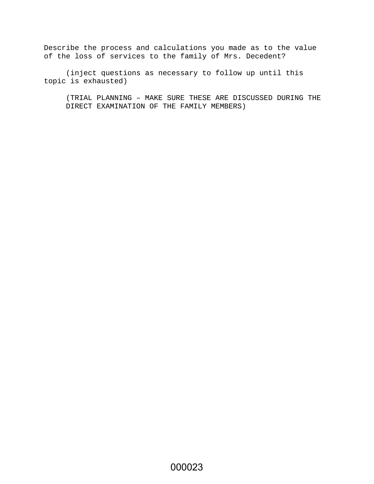Describe the process and calculations you made as to the value of the loss of services to the family of Mrs. Decedent?

 (inject questions as necessary to follow up until this topic is exhausted)

 (TRIAL PLANNING – MAKE SURE THESE ARE DISCUSSED DURING THE DIRECT EXAMINATION OF THE FAMILY MEMBERS)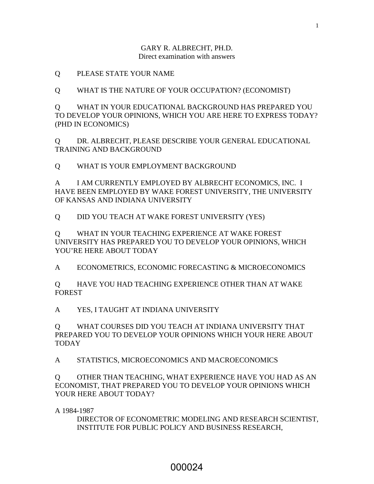### GARY R. ALBRECHT, PH.D. Direct examination with answers

Q PLEASE STATE YOUR NAME

Q WHAT IS THE NATURE OF YOUR OCCUPATION? (ECONOMIST)

Q WHAT IN YOUR EDUCATIONAL BACKGROUND HAS PREPARED YOU TO DEVELOP YOUR OPINIONS, WHICH YOU ARE HERE TO EXPRESS TODAY? (PHD IN ECONOMICS)

Q DR. ALBRECHT, PLEASE DESCRIBE YOUR GENERAL EDUCATIONAL TRAINING AND BACKGROUND

Q WHAT IS YOUR EMPLOYMENT BACKGROUND

A I AM CURRENTLY EMPLOYED BY ALBRECHT ECONOMICS, INC. I HAVE BEEN EMPLOYED BY WAKE FOREST UNIVERSITY, THE UNIVERSITY OF KANSAS AND INDIANA UNIVERSITY

Q DID YOU TEACH AT WAKE FOREST UNIVERSITY (YES)

Q WHAT IN YOUR TEACHING EXPERIENCE AT WAKE FOREST UNIVERSITY HAS PREPARED YOU TO DEVELOP YOUR OPINIONS, WHICH YOU'RE HERE ABOUT TODAY

A ECONOMETRICS, ECONOMIC FORECASTING & MICROECONOMICS

Q HAVE YOU HAD TEACHING EXPERIENCE OTHER THAN AT WAKE FOREST

A YES, I TAUGHT AT INDIANA UNIVERSITY

Q WHAT COURSES DID YOU TEACH AT INDIANA UNIVERSITY THAT PREPARED YOU TO DEVELOP YOUR OPINIONS WHICH YOUR HERE ABOUT TODAY

A STATISTICS, MICROECONOMICS AND MACROECONOMICS

Q OTHER THAN TEACHING, WHAT EXPERIENCE HAVE YOU HAD AS AN ECONOMIST, THAT PREPARED YOU TO DEVELOP YOUR OPINIONS WHICH YOUR HERE ABOUT TODAY?

A 1984-1987

DIRECTOR OF ECONOMETRIC MODELING AND RESEARCH SCIENTIST, INSTITUTE FOR PUBLIC POLICY AND BUSINESS RESEARCH,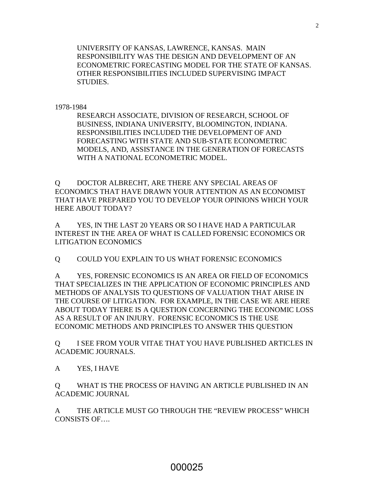UNIVERSITY OF KANSAS, LAWRENCE, KANSAS. MAIN RESPONSIBILITY WAS THE DESIGN AND DEVELOPMENT OF AN ECONOMETRIC FORECASTING MODEL FOR THE STATE OF KANSAS. OTHER RESPONSIBILITIES INCLUDED SUPERVISING IMPACT STUDIES.

1978-1984

RESEARCH ASSOCIATE, DIVISION OF RESEARCH, SCHOOL OF BUSINESS, INDIANA UNIVERSITY, BLOOMINGTON, INDIANA. RESPONSIBILITIES INCLUDED THE DEVELOPMENT OF AND FORECASTING WITH STATE AND SUB-STATE ECONOMETRIC MODELS, AND, ASSISTANCE IN THE GENERATION OF FORECASTS WITH A NATIONAL ECONOMETRIC MODEL.

Q DOCTOR ALBRECHT, ARE THERE ANY SPECIAL AREAS OF ECONOMICS THAT HAVE DRAWN YOUR ATTENTION AS AN ECONOMIST THAT HAVE PREPARED YOU TO DEVELOP YOUR OPINIONS WHICH YOUR HERE ABOUT TODAY?

A YES, IN THE LAST 20 YEARS OR SO I HAVE HAD A PARTICULAR INTEREST IN THE AREA OF WHAT IS CALLED FORENSIC ECONOMICS OR LITIGATION ECONOMICS

Q COULD YOU EXPLAIN TO US WHAT FORENSIC ECONOMICS

A YES, FORENSIC ECONOMICS IS AN AREA OR FIELD OF ECONOMICS THAT SPECIALIZES IN THE APPLICATION OF ECONOMIC PRINCIPLES AND METHODS OF ANALYSIS TO QUESTIONS OF VALUATION THAT ARISE IN THE COURSE OF LITIGATION. FOR EXAMPLE, IN THE CASE WE ARE HERE ABOUT TODAY THERE IS A QUESTION CONCERNING THE ECONOMIC LOSS AS A RESULT OF AN INJURY. FORENSIC ECONOMICS IS THE USE ECONOMIC METHODS AND PRINCIPLES TO ANSWER THIS QUESTION

Q I SEE FROM YOUR VITAE THAT YOU HAVE PUBLISHED ARTICLES IN ACADEMIC JOURNALS.

A YES, I HAVE

Q WHAT IS THE PROCESS OF HAVING AN ARTICLE PUBLISHED IN AN ACADEMIC JOURNAL

A THE ARTICLE MUST GO THROUGH THE "REVIEW PROCESS" WHICH CONSISTS OF….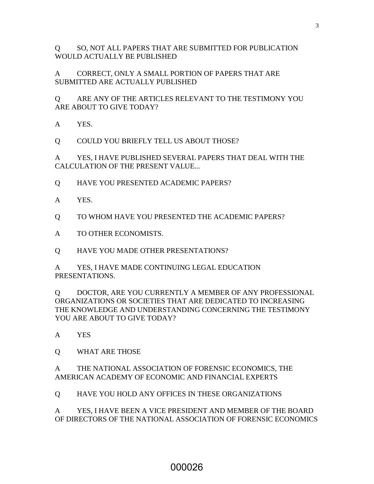Q SO, NOT ALL PAPERS THAT ARE SUBMITTED FOR PUBLICATION WOULD ACTUALLY BE PUBLISHED

A CORRECT, ONLY A SMALL PORTION OF PAPERS THAT ARE SUBMITTED ARE ACTUALLY PUBLISHED

Q ARE ANY OF THE ARTICLES RELEVANT TO THE TESTIMONY YOU ARE ABOUT TO GIVE TODAY?

A YES.

Q COULD YOU BRIEFLY TELL US ABOUT THOSE?

A YES, I HAVE PUBLISHED SEVERAL PAPERS THAT DEAL WITH THE CALCULATION OF THE PRESENT VALUE...

- Q HAVE YOU PRESENTED ACADEMIC PAPERS?
- A YES.
- Q TO WHOM HAVE YOU PRESENTED THE ACADEMIC PAPERS?
- A TO OTHER ECONOMISTS.
- Q HAVE YOU MADE OTHER PRESENTATIONS?

A YES, I HAVE MADE CONTINUING LEGAL EDUCATION PRESENTATIONS.

Q DOCTOR, ARE YOU CURRENTLY A MEMBER OF ANY PROFESSIONAL ORGANIZATIONS OR SOCIETIES THAT ARE DEDICATED TO INCREASING THE KNOWLEDGE AND UNDERSTANDING CONCERNING THE TESTIMONY YOU ARE ABOUT TO GIVE TODAY?

A YES

Q WHAT ARE THOSE

A THE NATIONAL ASSOCIATION OF FORENSIC ECONOMICS, THE AMERICAN ACADEMY OF ECONOMIC AND FINANCIAL EXPERTS

Q HAVE YOU HOLD ANY OFFICES IN THESE ORGANIZATIONS

A YES, I HAVE BEEN A VICE PRESIDENT AND MEMBER OF THE BOARD OF DIRECTORS OF THE NATIONAL ASSOCIATION OF FORENSIC ECONOMICS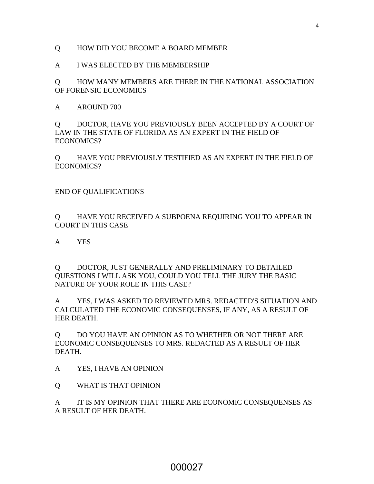### Q HOW DID YOU BECOME A BOARD MEMBER

### A I WAS ELECTED BY THE MEMBERSHIP

Q HOW MANY MEMBERS ARE THERE IN THE NATIONAL ASSOCIATION OF FORENSIC ECONOMICS

A AROUND 700

Q DOCTOR, HAVE YOU PREVIOUSLY BEEN ACCEPTED BY A COURT OF LAW IN THE STATE OF FLORIDA AS AN EXPERT IN THE FIELD OF ECONOMICS?

Q HAVE YOU PREVIOUSLY TESTIFIED AS AN EXPERT IN THE FIELD OF ECONOMICS?

### END OF QUALIFICATIONS

Q HAVE YOU RECEIVED A SUBPOENA REQUIRING YOU TO APPEAR IN COURT IN THIS CASE

A YES

Q DOCTOR, JUST GENERALLY AND PRELIMINARY TO DETAILED QUESTIONS I WILL ASK YOU, COULD YOU TELL THE JURY THE BASIC NATURE OF YOUR ROLE IN THIS CASE?

A YES, I WAS ASKED TO REVIEWED MRS. REDACTED'S SITUATION AND CALCULATED THE ECONOMIC CONSEQUENSES, IF ANY, AS A RESULT OF HER DEATH.

Q DO YOU HAVE AN OPINION AS TO WHETHER OR NOT THERE ARE ECONOMIC CONSEQUENSES TO MRS. REDACTED AS A RESULT OF HER DEATH.

A YES, I HAVE AN OPINION

Q WHAT IS THAT OPINION

A IT IS MY OPINION THAT THERE ARE ECONOMIC CONSEQUENSES AS A RESULT OF HER DEATH.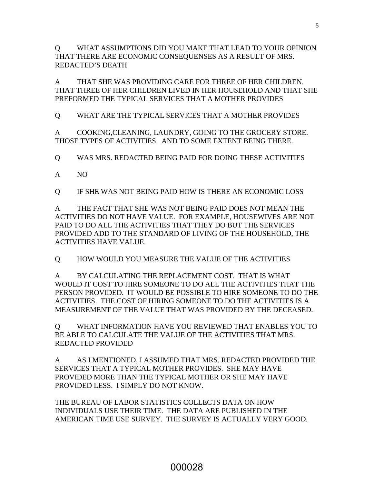Q WHAT ASSUMPTIONS DID YOU MAKE THAT LEAD TO YOUR OPINION THAT THERE ARE ECONOMIC CONSEQUENSES AS A RESULT OF MRS. REDACTED'S DEATH

A THAT SHE WAS PROVIDING CARE FOR THREE OF HER CHILDREN. THAT THREE OF HER CHILDREN LIVED IN HER HOUSEHOLD AND THAT SHE PREFORMED THE TYPICAL SERVICES THAT A MOTHER PROVIDES

Q WHAT ARE THE TYPICAL SERVICES THAT A MOTHER PROVIDES

A COOKING,CLEANING, LAUNDRY, GOING TO THE GROCERY STORE. THOSE TYPES OF ACTIVITIES. AND TO SOME EXTENT BEING THERE.

Q WAS MRS. REDACTED BEING PAID FOR DOING THESE ACTIVITIES

A NO

Q IF SHE WAS NOT BEING PAID HOW IS THERE AN ECONOMIC LOSS

A THE FACT THAT SHE WAS NOT BEING PAID DOES NOT MEAN THE ACTIVITIES DO NOT HAVE VALUE. FOR EXAMPLE, HOUSEWIVES ARE NOT PAID TO DO ALL THE ACTIVITIES THAT THEY DO BUT THE SERVICES PROVIDED ADD TO THE STANDARD OF LIVING OF THE HOUSEHOLD, THE ACTIVITIES HAVE VALUE.

Q HOW WOULD YOU MEASURE THE VALUE OF THE ACTIVITIES

A BY CALCULATING THE REPLACEMENT COST. THAT IS WHAT WOULD IT COST TO HIRE SOMEONE TO DO ALL THE ACTIVITIES THAT THE PERSON PROVIDED. IT WOULD BE POSSIBLE TO HIRE SOMEONE TO DO THE ACTIVITIES. THE COST OF HIRING SOMEONE TO DO THE ACTIVITIES IS A MEASUREMENT OF THE VALUE THAT WAS PROVIDED BY THE DECEASED.

Q WHAT INFORMATION HAVE YOU REVIEWED THAT ENABLES YOU TO BE ABLE TO CALCULATE THE VALUE OF THE ACTIVITIES THAT MRS. REDACTED PROVIDED

A AS I MENTIONED, I ASSUMED THAT MRS. REDACTED PROVIDED THE SERVICES THAT A TYPICAL MOTHER PROVIDES. SHE MAY HAVE PROVIDED MORE THAN THE TYPICAL MOTHER OR SHE MAY HAVE PROVIDED LESS. I SIMPLY DO NOT KNOW.

THE BUREAU OF LABOR STATISTICS COLLECTS DATA ON HOW INDIVIDUALS USE THEIR TIME. THE DATA ARE PUBLISHED IN THE AMERICAN TIME USE SURVEY. THE SURVEY IS ACTUALLY VERY GOOD.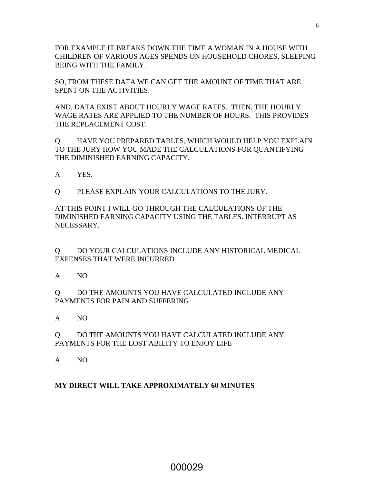FOR EXAMPLE IT BREAKS DOWN THE TIME A WOMAN IN A HOUSE WITH CHILDREN OF VARIOUS AGES SPENDS ON HOUSEHOLD CHORES, SLEEPING BEING WITH THE FAMILY.

SO, FROM THESE DATA WE CAN GET THE AMOUNT OF TIME THAT ARE SPENT ON THE ACTIVITIES.

AND, DATA EXIST ABOUT HOURLY WAGE RATES. THEN, THE HOURLY WAGE RATES ARE APPLIED TO THE NUMBER OF HOURS. THIS PROVIDES THE REPLACEMENT COST.

Q HAVE YOU PREPARED TABLES, WHICH WOULD HELP YOU EXPLAIN TO THE JURY HOW YOU MADE THE CALCULATIONS FOR QUANTIFYING THE DIMINISHED EARNING CAPACITY.

A YES.

Q PLEASE EXPLAIN YOUR CALCULATIONS TO THE JURY.

AT THIS POINT I WILL GO THROUGH THE CALCULATIONS OF THE DIMINISHED EARNING CAPACITY USING THE TABLES. INTERRUPT AS NECESSARY.

Q DO YOUR CALCULATIONS INCLUDE ANY HISTORICAL MEDICAL EXPENSES THAT WERE INCURRED

A NO

Q DO THE AMOUNTS YOU HAVE CALCULATED INCLUDE ANY PAYMENTS FOR PAIN AND SUFFERING

A NO

Q DO THE AMOUNTS YOU HAVE CALCULATED INCLUDE ANY PAYMENTS FOR THE LOST ABILITY TO ENJOY LIFE

A NO

### **MY DIRECT WILL TAKE APPROXIMATELY 60 MINUTES**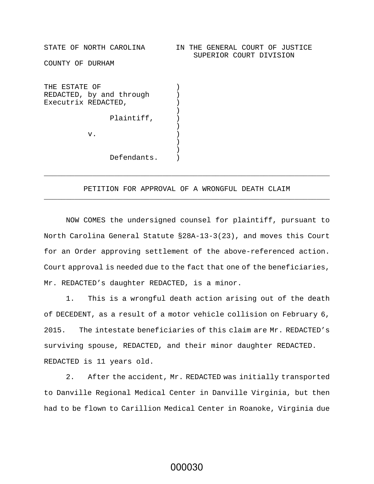| STATE OF NORTH CAROLINA                   | IN THE GENERAL COURT OF JUSTICE<br>SUPERIOR COURT DIVISION |
|-------------------------------------------|------------------------------------------------------------|
| COUNTY OF DURHAM                          |                                                            |
| THE ESTATE OF<br>REDACTED, by and through |                                                            |
| Executrix REDACTED,                       |                                                            |
| Plaintiff,                                |                                                            |
| v.                                        |                                                            |
| Defendants.                               |                                                            |
|                                           |                                                            |

PETITION FOR APPROVAL OF A WRONGFUL DEATH CLAIM  $\overline{\phantom{a}}$  , and the contribution of the contribution of  $\overline{\phantom{a}}$  ,  $\overline{\phantom{a}}$  ,  $\overline{\phantom{a}}$  ,  $\overline{\phantom{a}}$  ,  $\overline{\phantom{a}}$  ,  $\overline{\phantom{a}}$  ,  $\overline{\phantom{a}}$  ,  $\overline{\phantom{a}}$  ,  $\overline{\phantom{a}}$  ,  $\overline{\phantom{a}}$  ,  $\overline{\phantom{a}}$  ,  $\overline{\phantom{a$ 

 NOW COMES the undersigned counsel for plaintiff, pursuant to North Carolina General Statute §28A-13-3(23), and moves this Court for an Order approving settlement of the above-referenced action. Court approval is needed due to the fact that one of the beneficiaries, Mr. REDACTED's daughter REDACTED, is a minor.

1. This is a wrongful death action arising out of the death of DECEDENT, as a result of a motor vehicle collision on February 6, 2015. The intestate beneficiaries of this claim are Mr. REDACTED's surviving spouse, REDACTED, and their minor daughter REDACTED. REDACTED is 11 years old.

2. After the accident, Mr. REDACTED was initially transported to Danville Regional Medical Center in Danville Virginia, but then had to be flown to Carillion Medical Center in Roanoke, Virginia due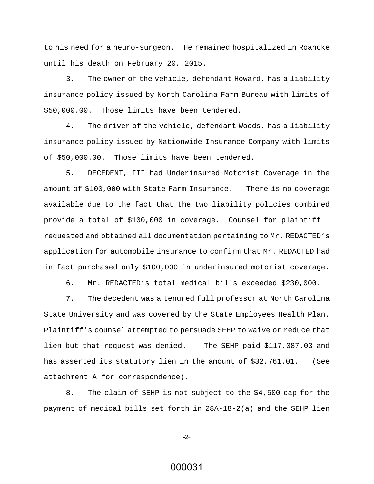to his need for a neuro-surgeon. He remained hospitalized in Roanoke until his death on February 20, 2015.

3. The owner of the vehicle, defendant Howard, has a liability insurance policy issued by North Carolina Farm Bureau with limits of \$50,000.00. Those limits have been tendered.

4. The driver of the vehicle, defendant Woods, has a liability insurance policy issued by Nationwide Insurance Company with limits of \$50,000.00. Those limits have been tendered.

5. DECEDENT, III had Underinsured Motorist Coverage in the amount of \$100,000 with State Farm Insurance. There is no coverage available due to the fact that the two liability policies combined provide a total of \$100,000 in coverage. Counsel for plaintiff requested and obtained all documentation pertaining to Mr. REDACTED's application for automobile insurance to confirm that Mr. REDACTED had in fact purchased only \$100,000 in underinsured motorist coverage.

6. Mr. REDACTED's total medical bills exceeded \$230,000.

7. The decedent was a tenured full professor at North Carolina State University and was covered by the State Employees Health Plan. Plaintiff's counsel attempted to persuade SEHP to waive or reduce that lien but that request was denied. The SEHP paid \$117,087.03 and has asserted its statutory lien in the amount of \$32,761.01. (See attachment A for correspondence).

8. The claim of SEHP is not subject to the \$4,500 cap for the payment of medical bills set forth in 28A-18-2(a) and the SEHP lien

-2-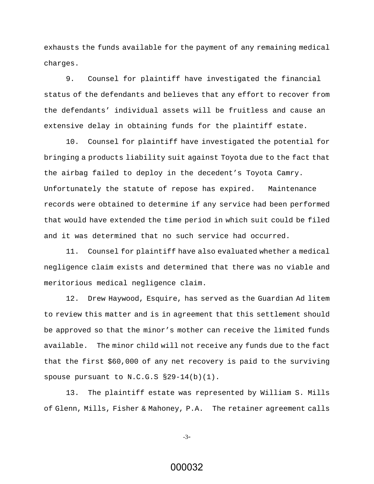exhausts the funds available for the payment of any remaining medical charges.

9. Counsel for plaintiff have investigated the financial status of the defendants and believes that any effort to recover from the defendants' individual assets will be fruitless and cause an extensive delay in obtaining funds for the plaintiff estate.

10. Counsel for plaintiff have investigated the potential for bringing a products liability suit against Toyota due to the fact that the airbag failed to deploy in the decedent's Toyota Camry. Unfortunately the statute of repose has expired. Maintenance records were obtained to determine if any service had been performed that would have extended the time period in which suit could be filed and it was determined that no such service had occurred.

11. Counsel for plaintiff have also evaluated whether a medical negligence claim exists and determined that there was no viable and meritorious medical negligence claim.

12. Drew Haywood, Esquire, has served as the Guardian Ad litem to review this matter and is in agreement that this settlement should be approved so that the minor's mother can receive the limited funds available. The minor child will not receive any funds due to the fact that the first \$60,000 of any net recovery is paid to the surviving spouse pursuant to N.C.G.S §29-14(b)(1).

13. The plaintiff estate was represented by William S. Mills of Glenn, Mills, Fisher & Mahoney, P.A. The retainer agreement calls

-3-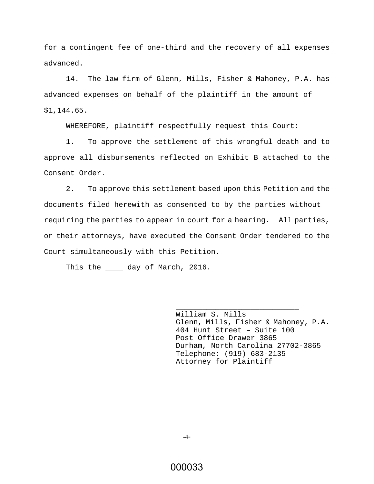for a contingent fee of one-third and the recovery of all expenses advanced.

14. The law firm of Glenn, Mills, Fisher & Mahoney, P.A. has advanced expenses on behalf of the plaintiff in the amount of \$1,144.65.

WHEREFORE, plaintiff respectfully request this Court:

1. To approve the settlement of this wrongful death and to approve all disbursements reflected on Exhibit B attached to the Consent Order.

2. To approve this settlement based upon this Petition and the documents filed herewith as consented to by the parties without requiring the parties to appear in court for a hearing. All parties, or their attorneys, have executed the Consent Order tendered to the Court simultaneously with this Petition.

This the \_\_\_\_ day of March, 2016.

 $\overline{\phantom{a}}$  , and the contract of the contract of the contract of the contract of the contract of the contract of the contract of the contract of the contract of the contract of the contract of the contract of the contrac William S. Mills Glenn, Mills, Fisher & Mahoney, P.A. 404 Hunt Street – Suite 100 Post Office Drawer 3865 Durham, North Carolina 27702-3865 Telephone: (919) 683-2135 Attorney for Plaintiff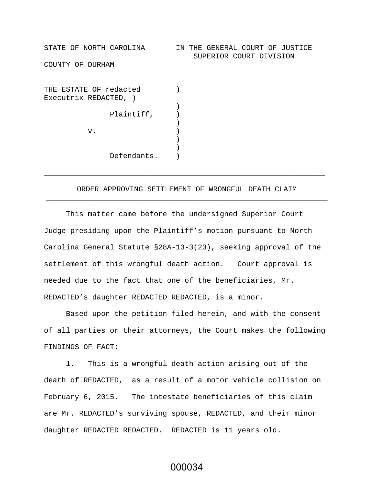| STATE OF NORTH CAROLINA<br>COUNTY OF DURHAM     | IN THE GENERAL COURT OF JUSTICE<br>SUPERIOR COURT DIVISION |
|-------------------------------------------------|------------------------------------------------------------|
|                                                 |                                                            |
| THE ESTATE OF redacted<br>Executrix REDACTED, ) |                                                            |
| Plaintiff,                                      |                                                            |
| v.                                              |                                                            |
| Defendants.                                     |                                                            |

# ORDER APPROVING SETTLEMENT OF WRONGFUL DEATH CLAIM  $\overline{\phantom{a}}$  , and the contribution of the contribution of  $\overline{\phantom{a}}$  ,  $\overline{\phantom{a}}$  ,  $\overline{\phantom{a}}$  ,  $\overline{\phantom{a}}$  ,  $\overline{\phantom{a}}$  ,  $\overline{\phantom{a}}$  ,  $\overline{\phantom{a}}$  ,  $\overline{\phantom{a}}$  ,  $\overline{\phantom{a}}$  ,  $\overline{\phantom{a}}$  ,  $\overline{\phantom{a}}$  ,  $\overline{\phantom{a$

 $\overline{\phantom{a}}$  , and the contribution of the contribution of  $\overline{\phantom{a}}$  ,  $\overline{\phantom{a}}$  ,  $\overline{\phantom{a}}$  ,  $\overline{\phantom{a}}$  ,  $\overline{\phantom{a}}$  ,  $\overline{\phantom{a}}$  ,  $\overline{\phantom{a}}$  ,  $\overline{\phantom{a}}$  ,  $\overline{\phantom{a}}$  ,  $\overline{\phantom{a}}$  ,  $\overline{\phantom{a}}$  ,  $\overline{\phantom{a$ 

 This matter came before the undersigned Superior Court Judge presiding upon the Plaintiff's motion pursuant to North Carolina General Statute §28A-13-3(23), seeking approval of the settlement of this wrongful death action. Court approval is needed due to the fact that one of the beneficiaries, Mr. REDACTED's daughter REDACTED REDACTED, is a minor.

 Based upon the petition filed herein, and with the consent of all parties or their attorneys, the Court makes the following FINDINGS OF FACT:

1. This is a wrongful death action arising out of the death of REDACTED, as a result of a motor vehicle collision on February 6, 2015. The intestate beneficiaries of this claim are Mr. REDACTED's surviving spouse, REDACTED, and their minor daughter REDACTED REDACTED. REDACTED is 11 years old.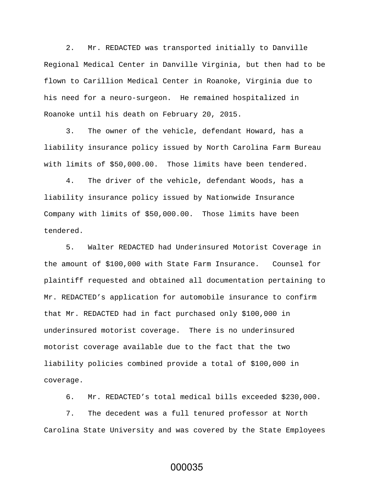2. Mr. REDACTED was transported initially to Danville Regional Medical Center in Danville Virginia, but then had to be flown to Carillion Medical Center in Roanoke, Virginia due to his need for a neuro-surgeon. He remained hospitalized in Roanoke until his death on February 20, 2015.

3. The owner of the vehicle, defendant Howard, has a liability insurance policy issued by North Carolina Farm Bureau with limits of \$50,000.00. Those limits have been tendered.

4. The driver of the vehicle, defendant Woods, has a liability insurance policy issued by Nationwide Insurance Company with limits of \$50,000.00. Those limits have been tendered.

5. Walter REDACTED had Underinsured Motorist Coverage in the amount of \$100,000 with State Farm Insurance. Counsel for plaintiff requested and obtained all documentation pertaining to Mr. REDACTED's application for automobile insurance to confirm that Mr. REDACTED had in fact purchased only \$100,000 in underinsured motorist coverage. There is no underinsured motorist coverage available due to the fact that the two liability policies combined provide a total of \$100,000 in coverage.

6. Mr. REDACTED's total medical bills exceeded \$230,000.

7. The decedent was a full tenured professor at North Carolina State University and was covered by the State Employees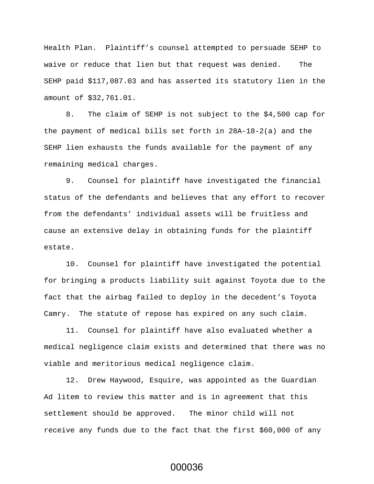Health Plan. Plaintiff's counsel attempted to persuade SEHP to waive or reduce that lien but that request was denied. The SEHP paid \$117,087.03 and has asserted its statutory lien in the amount of \$32,761.01.

8. The claim of SEHP is not subject to the \$4,500 cap for the payment of medical bills set forth in 28A-18-2(a) and the SEHP lien exhausts the funds available for the payment of any remaining medical charges.

9. Counsel for plaintiff have investigated the financial status of the defendants and believes that any effort to recover from the defendants' individual assets will be fruitless and cause an extensive delay in obtaining funds for the plaintiff estate.

10. Counsel for plaintiff have investigated the potential for bringing a products liability suit against Toyota due to the fact that the airbag failed to deploy in the decedent's Toyota Camry. The statute of repose has expired on any such claim.

11. Counsel for plaintiff have also evaluated whether a medical negligence claim exists and determined that there was no viable and meritorious medical negligence claim.

12. Drew Haywood, Esquire, was appointed as the Guardian Ad litem to review this matter and is in agreement that this settlement should be approved. The minor child will not receive any funds due to the fact that the first \$60,000 of any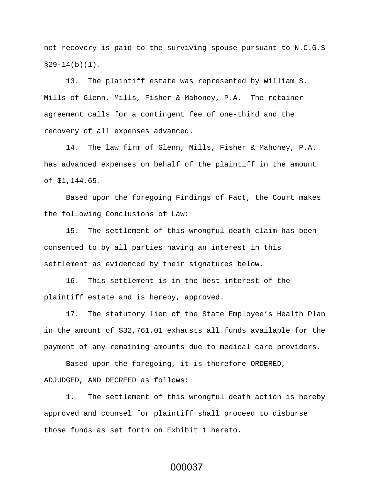net recovery is paid to the surviving spouse pursuant to N.C.G.S  $$29-14(b)(1)$ .

13. The plaintiff estate was represented by William S. Mills of Glenn, Mills, Fisher & Mahoney, P.A. The retainer agreement calls for a contingent fee of one-third and the recovery of all expenses advanced.

14. The law firm of Glenn, Mills, Fisher & Mahoney, P.A. has advanced expenses on behalf of the plaintiff in the amount of \$1,144.65.

Based upon the foregoing Findings of Fact, the Court makes the following Conclusions of Law:

 15. The settlement of this wrongful death claim has been consented to by all parties having an interest in this settlement as evidenced by their signatures below.

16. This settlement is in the best interest of the plaintiff estate and is hereby, approved.

17. The statutory lien of the State Employee's Health Plan in the amount of \$32,761.01 exhausts all funds available for the payment of any remaining amounts due to medical care providers.

 Based upon the foregoing, it is therefore ORDERED, ADJUDGED, AND DECREED as follows:

1. The settlement of this wrongful death action is hereby approved and counsel for plaintiff shall proceed to disburse those funds as set forth on Exhibit 1 hereto.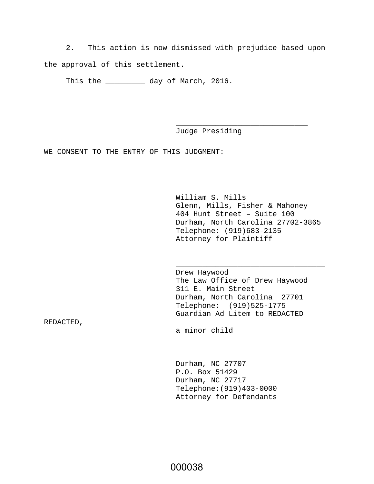2. This action is now dismissed with prejudice based upon the approval of this settlement.

 $\overline{\phantom{a}}$  , and the contract of the contract of the contract of the contract of the contract of the contract of the contract of the contract of the contract of the contract of the contract of the contract of the contrac

This the \_\_\_\_\_\_\_\_\_\_ day of March, 2016.

Judge Presiding

WE CONSENT TO THE ENTRY OF THIS JUDGMENT:

\_\_\_\_\_\_\_\_\_\_\_\_\_\_\_\_\_\_\_\_\_\_\_\_\_\_\_\_\_\_\_\_ William S. Mills Glenn, Mills, Fisher & Mahoney 404 Hunt Street – Suite 100 Durham, North Carolina 27702-3865 Telephone: (919)683-2135 Attorney for Plaintiff

\_\_\_\_\_\_\_\_\_\_\_\_\_\_\_\_\_\_\_\_\_\_\_\_\_\_\_\_\_\_\_\_\_\_

 Drew Haywood The Law Office of Drew Haywood 311 E. Main Street Durham, North Carolina 27701 Telephone: (919)525-1775 Guardian Ad Litem to REDACTED

REDACTED,

a minor child

 Durham, NC 27707 P.O. Box 51429 Durham, NC 27717 Telephone:(919)403-0000 Attorney for Defendants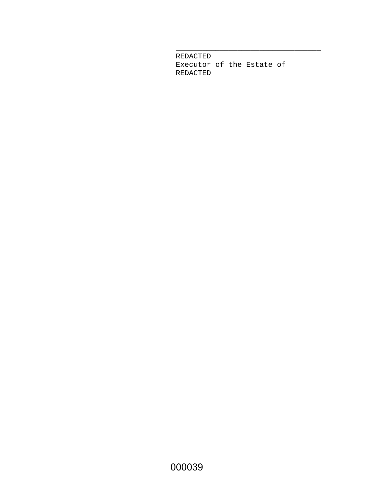\_\_\_\_\_\_\_\_\_\_\_\_\_\_\_\_\_\_\_\_\_\_\_\_\_\_\_\_\_\_\_\_\_ REDACTED Executor of the Estate of REDACTED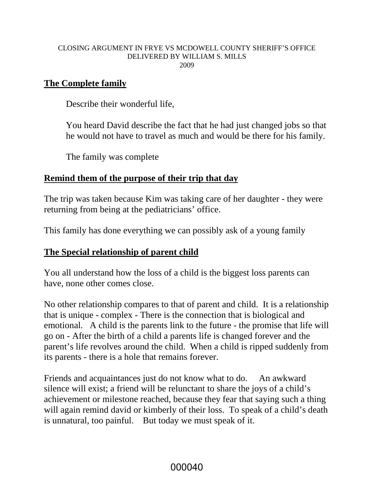### CLOSING ARGUMENT IN FRYE VS MCDOWELL COUNTY SHERIFF'S OFFICE DELIVERED BY WILLIAM S. MILLS 2009

# **The Complete family**

Describe their wonderful life,

You heard David describe the fact that he had just changed jobs so that he would not have to travel as much and would be there for his family.

The family was complete

# **Remind them of the purpose of their trip that day**

The trip was taken because Kim was taking care of her daughter - they were returning from being at the pediatricians' office.

This family has done everything we can possibly ask of a young family

# **The Special relationship of parent child**

You all understand how the loss of a child is the biggest loss parents can have, none other comes close.

No other relationship compares to that of parent and child. It is a relationship that is unique - complex - There is the connection that is biological and emotional. A child is the parents link to the future - the promise that life will go on - After the birth of a child a parents life is changed forever and the parent's life revolves around the child. When a child is ripped suddenly from its parents - there is a hole that remains forever.

Friends and acquaintances just do not know what to do. An awkward silence will exist; a friend will be relunctant to share the joys of a child's achievement or milestone reached, because they fear that saying such a thing will again remind david or kimberly of their loss. To speak of a child's death is unnatural, too painful. But today we must speak of it.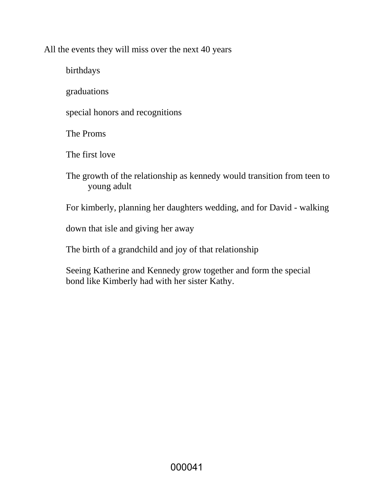All the events they will miss over the next 40 years

birthdays

graduations

special honors and recognitions

The Proms

The first love

The growth of the relationship as kennedy would transition from teen to young adult

For kimberly, planning her daughters wedding, and for David - walking

down that isle and giving her away

The birth of a grandchild and joy of that relationship

Seeing Katherine and Kennedy grow together and form the special bond like Kimberly had with her sister Kathy.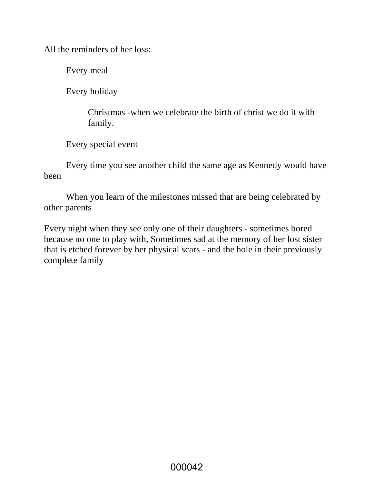All the reminders of her loss:

Every meal

Every holiday

Christmas -when we celebrate the birth of christ we do it with family.

Every special event

Every time you see another child the same age as Kennedy would have been

When you learn of the milestones missed that are being celebrated by other parents

Every night when they see only one of their daughters - sometimes bored because no one to play with, Sometimes sad at the memory of her lost sister that is etched forever by her physical scars - and the hole in their previously complete family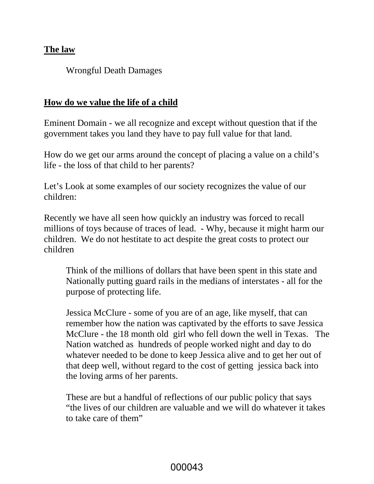# **The law**

Wrongful Death Damages

# **How do we value the life of a child**

Eminent Domain - we all recognize and except without question that if the government takes you land they have to pay full value for that land.

How do we get our arms around the concept of placing a value on a child's life - the loss of that child to her parents?

Let's Look at some examples of our society recognizes the value of our children:

Recently we have all seen how quickly an industry was forced to recall millions of toys because of traces of lead. - Why, because it might harm our children. We do not hestitate to act despite the great costs to protect our children

Think of the millions of dollars that have been spent in this state and Nationally putting guard rails in the medians of interstates - all for the purpose of protecting life.

Jessica McClure - some of you are of an age, like myself, that can remember how the nation was captivated by the efforts to save Jessica McClure - the 18 month old girl who fell down the well in Texas. The Nation watched as hundreds of people worked night and day to do whatever needed to be done to keep Jessica alive and to get her out of that deep well, without regard to the cost of getting jessica back into the loving arms of her parents.

These are but a handful of reflections of our public policy that says "the lives of our children are valuable and we will do whatever it takes to take care of them"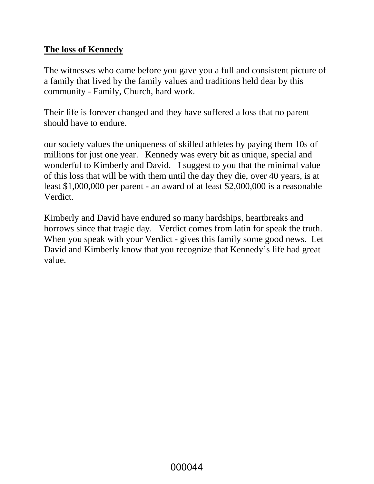# **The loss of Kennedy**

The witnesses who came before you gave you a full and consistent picture of a family that lived by the family values and traditions held dear by this community - Family, Church, hard work.

Their life is forever changed and they have suffered a loss that no parent should have to endure.

our society values the uniqueness of skilled athletes by paying them 10s of millions for just one year. Kennedy was every bit as unique, special and wonderful to Kimberly and David. I suggest to you that the minimal value of this loss that will be with them until the day they die, over 40 years, is at least \$1,000,000 per parent - an award of at least \$2,000,000 is a reasonable Verdict.

Kimberly and David have endured so many hardships, heartbreaks and horrows since that tragic day. Verdict comes from latin for speak the truth. When you speak with your Verdict - gives this family some good news. Let David and Kimberly know that you recognize that Kennedy's life had great value.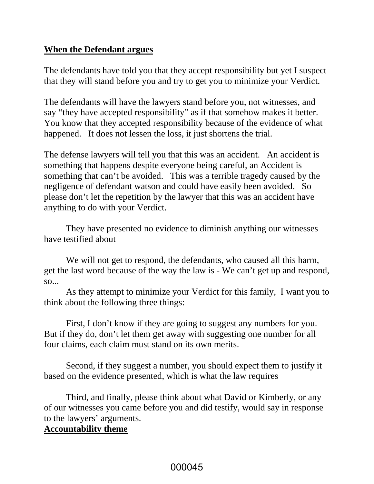# **When the Defendant argues**

The defendants have told you that they accept responsibility but yet I suspect that they will stand before you and try to get you to minimize your Verdict.

The defendants will have the lawyers stand before you, not witnesses, and say "they have accepted responsibility" as if that somehow makes it better. You know that they accepted responsibility because of the evidence of what happened. It does not lessen the loss, it just shortens the trial.

The defense lawyers will tell you that this was an accident. An accident is something that happens despite everyone being careful, an Accident is something that can't be avoided. This was a terrible tragedy caused by the negligence of defendant watson and could have easily been avoided. So please don't let the repetition by the lawyer that this was an accident have anything to do with your Verdict.

They have presented no evidence to diminish anything our witnesses have testified about

We will not get to respond, the defendants, who caused all this harm, get the last word because of the way the law is - We can't get up and respond, so...

As they attempt to minimize your Verdict for this family, I want you to think about the following three things:

First, I don't know if they are going to suggest any numbers for you. But if they do, don't let them get away with suggesting one number for all four claims, each claim must stand on its own merits.

Second, if they suggest a number, you should expect them to justify it based on the evidence presented, which is what the law requires

Third, and finally, please think about what David or Kimberly, or any of our witnesses you came before you and did testify, would say in response to the lawyers' arguments.

# **Accountability theme**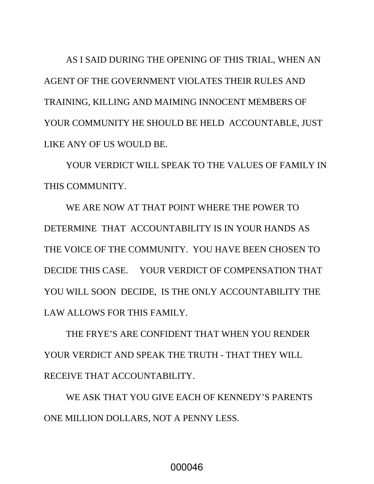AS I SAID DURING THE OPENING OF THIS TRIAL, WHEN AN AGENT OF THE GOVERNMENT VIOLATES THEIR RULES AND TRAINING, KILLING AND MAIMING INNOCENT MEMBERS OF YOUR COMMUNITY HE SHOULD BE HELD ACCOUNTABLE, JUST LIKE ANY OF US WOULD BE.

YOUR VERDICT WILL SPEAK TO THE VALUES OF FAMILY IN THIS COMMUNITY.

WE ARE NOW AT THAT POINT WHERE THE POWER TO DETERMINE THAT ACCOUNTABILITY IS IN YOUR HANDS AS THE VOICE OF THE COMMUNITY. YOU HAVE BEEN CHOSEN TO DECIDE THIS CASE. YOUR VERDICT OF COMPENSATION THAT YOU WILL SOON DECIDE, IS THE ONLY ACCOUNTABILITY THE LAW ALLOWS FOR THIS FAMILY.

THE FRYE'S ARE CONFIDENT THAT WHEN YOU RENDER YOUR VERDICT AND SPEAK THE TRUTH - THAT THEY WILL RECEIVE THAT ACCOUNTABILITY.

WE ASK THAT YOU GIVE EACH OF KENNEDY'S PARENTS ONE MILLION DOLLARS, NOT A PENNY LESS.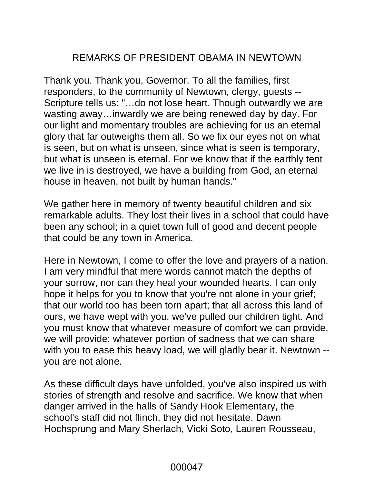# REMARKS OF PRESIDENT OBAMA IN NEWTOWN

Thank you. Thank you, Governor. To all the families, first responders, to the community of Newtown, clergy, guests -- Scripture tells us: "…do not lose heart. Though outwardly we are wasting away…inwardly we are being renewed day by day. For our light and momentary troubles are achieving for us an eternal glory that far outweighs them all. So we fix our eyes not on what is seen, but on what is unseen, since what is seen is temporary, but what is unseen is eternal. For we know that if the earthly tent we live in is destroyed, we have a building from God, an eternal house in heaven, not built by human hands."

We gather here in memory of twenty beautiful children and six remarkable adults. They lost their lives in a school that could have been any school; in a quiet town full of good and decent people that could be any town in America.

Here in Newtown, I come to offer the love and prayers of a nation. I am very mindful that mere words cannot match the depths of your sorrow, nor can they heal your wounded hearts. I can only hope it helps for you to know that you're not alone in your grief; that our world too has been torn apart; that all across this land of ours, we have wept with you, we've pulled our children tight. And you must know that whatever measure of comfort we can provide, we will provide; whatever portion of sadness that we can share with you to ease this heavy load, we will gladly bear it. Newtown -you are not alone.

As these difficult days have unfolded, you've also inspired us with stories of strength and resolve and sacrifice. We know that when danger arrived in the halls of Sandy Hook Elementary, the school's staff did not flinch, they did not hesitate. Dawn Hochsprung and Mary Sherlach, Vicki Soto, Lauren Rousseau,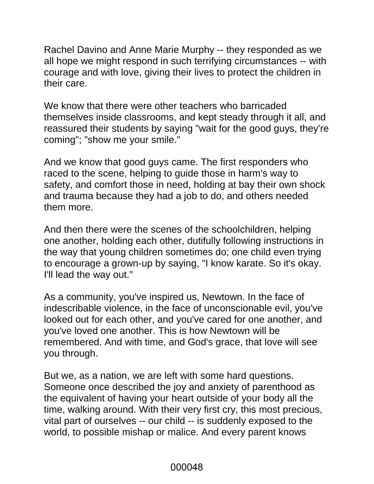Rachel Davino and Anne Marie Murphy -- they responded as we all hope we might respond in such terrifying circumstances -- with courage and with love, giving their lives to protect the children in their care.

We know that there were other teachers who barricaded themselves inside classrooms, and kept steady through it all, and reassured their students by saying "wait for the good guys, they're coming"; "show me your smile."

And we know that good guys came. The first responders who raced to the scene, helping to guide those in harm's way to safety, and comfort those in need, holding at bay their own shock and trauma because they had a job to do, and others needed them more.

And then there were the scenes of the schoolchildren, helping one another, holding each other, dutifully following instructions in the way that young children sometimes do; one child even trying to encourage a grown-up by saying, "I know karate. So it's okay. I'll lead the way out."

As a community, you've inspired us, Newtown. In the face of indescribable violence, in the face of unconscionable evil, you've looked out for each other, and you've cared for one another, and you've loved one another. This is how Newtown will be remembered. And with time, and God's grace, that love will see you through.

But we, as a nation, we are left with some hard questions. Someone once described the joy and anxiety of parenthood as the equivalent of having your heart outside of your body all the time, walking around. With their very first cry, this most precious, vital part of ourselves -- our child -- is suddenly exposed to the world, to possible mishap or malice. And every parent knows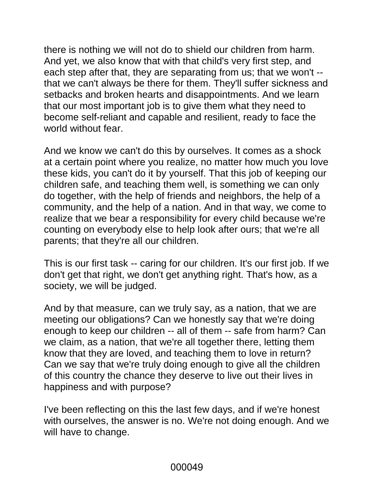there is nothing we will not do to shield our children from harm. And yet, we also know that with that child's very first step, and each step after that, they are separating from us; that we won't - that we can't always be there for them. They'll suffer sickness and setbacks and broken hearts and disappointments. And we learn that our most important job is to give them what they need to become self-reliant and capable and resilient, ready to face the world without fear.

And we know we can't do this by ourselves. It comes as a shock at a certain point where you realize, no matter how much you love these kids, you can't do it by yourself. That this job of keeping our children safe, and teaching them well, is something we can only do together, with the help of friends and neighbors, the help of a community, and the help of a nation. And in that way, we come to realize that we bear a responsibility for every child because we're counting on everybody else to help look after ours; that we're all parents; that they're all our children.

This is our first task -- caring for our children. It's our first job. If we don't get that right, we don't get anything right. That's how, as a society, we will be judged.

And by that measure, can we truly say, as a nation, that we are meeting our obligations? Can we honestly say that we're doing enough to keep our children -- all of them -- safe from harm? Can we claim, as a nation, that we're all together there, letting them know that they are loved, and teaching them to love in return? Can we say that we're truly doing enough to give all the children of this country the chance they deserve to live out their lives in happiness and with purpose?

I've been reflecting on this the last few days, and if we're honest with ourselves, the answer is no. We're not doing enough. And we will have to change.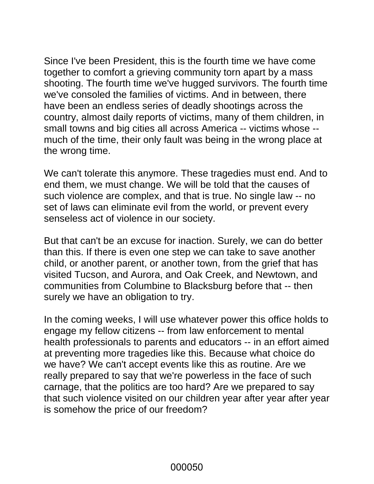Since I've been President, this is the fourth time we have come together to comfort a grieving community torn apart by a mass shooting. The fourth time we've hugged survivors. The fourth time we've consoled the families of victims. And in between, there have been an endless series of deadly shootings across the country, almost daily reports of victims, many of them children, in small towns and big cities all across America -- victims whose - much of the time, their only fault was being in the wrong place at the wrong time.

We can't tolerate this anymore. These tragedies must end. And to end them, we must change. We will be told that the causes of such violence are complex, and that is true. No single law -- no set of laws can eliminate evil from the world, or prevent every senseless act of violence in our society.

But that can't be an excuse for inaction. Surely, we can do better than this. If there is even one step we can take to save another child, or another parent, or another town, from the grief that has visited Tucson, and Aurora, and Oak Creek, and Newtown, and communities from Columbine to Blacksburg before that -- then surely we have an obligation to try.

In the coming weeks, I will use whatever power this office holds to engage my fellow citizens -- from law enforcement to mental health professionals to parents and educators -- in an effort aimed at preventing more tragedies like this. Because what choice do we have? We can't accept events like this as routine. Are we really prepared to say that we're powerless in the face of such carnage, that the politics are too hard? Are we prepared to say that such violence visited on our children year after year after year is somehow the price of our freedom?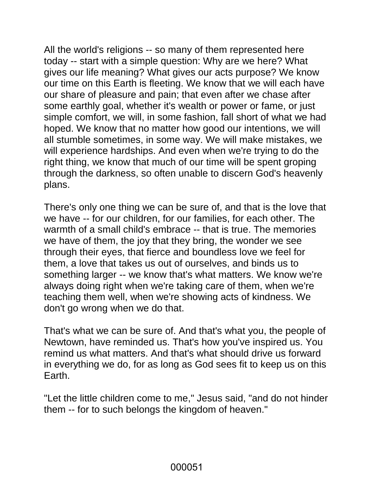All the world's religions -- so many of them represented here today -- start with a simple question: Why are we here? What gives our life meaning? What gives our acts purpose? We know our time on this Earth is fleeting. We know that we will each have our share of pleasure and pain; that even after we chase after some earthly goal, whether it's wealth or power or fame, or just simple comfort, we will, in some fashion, fall short of what we had hoped. We know that no matter how good our intentions, we will all stumble sometimes, in some way. We will make mistakes, we will experience hardships. And even when we're trying to do the right thing, we know that much of our time will be spent groping through the darkness, so often unable to discern God's heavenly plans.

There's only one thing we can be sure of, and that is the love that we have -- for our children, for our families, for each other. The warmth of a small child's embrace -- that is true. The memories we have of them, the joy that they bring, the wonder we see through their eyes, that fierce and boundless love we feel for them, a love that takes us out of ourselves, and binds us to something larger -- we know that's what matters. We know we're always doing right when we're taking care of them, when we're teaching them well, when we're showing acts of kindness. We don't go wrong when we do that.

That's what we can be sure of. And that's what you, the people of Newtown, have reminded us. That's how you've inspired us. You remind us what matters. And that's what should drive us forward in everything we do, for as long as God sees fit to keep us on this Earth.

"Let the little children come to me," Jesus said, "and do not hinder them -- for to such belongs the kingdom of heaven."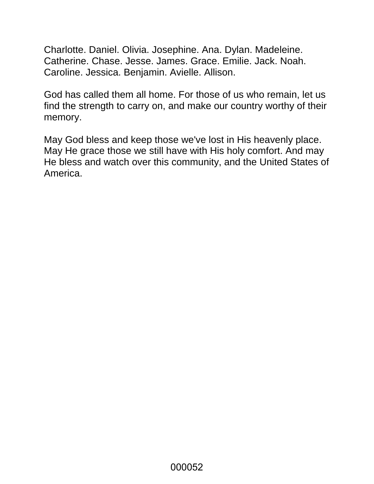Charlotte. Daniel. Olivia. Josephine. Ana. Dylan. Madeleine. Catherine. Chase. Jesse. James. Grace. Emilie. Jack. Noah. Caroline. Jessica. Benjamin. Avielle. Allison.

God has called them all home. For those of us who remain, let us find the strength to carry on, and make our country worthy of their memory.

May God bless and keep those we've lost in His heavenly place. May He grace those we still have with His holy comfort. And may He bless and watch over this community, and the United States of America.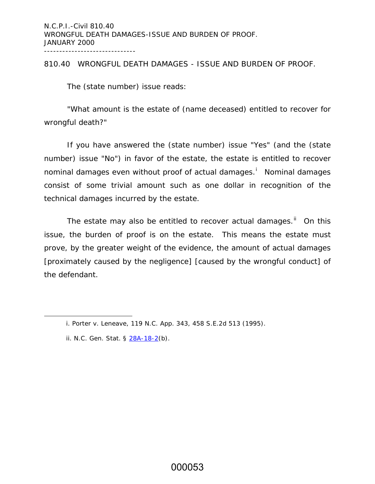------------------------------

# 810.40 WRONGFUL DEATH DAMAGES - ISSUE AND BURDEN OF PROOF.

The (*state number*) issue reads:

"What amount is the estate of (*name deceased*) entitled to recover for wrongful death?"

If you have answered the (*state number*) issue "Yes" (and the (*state number*) issue "No") in favor of the estate, the estate is entitled to recover nom[i](#page-52-0)nal damages even without proof of actual damages.<sup>i</sup> Nominal damages consist of some trivial amount such as one dollar in recognition of the technical damages incurred by the estate.

The estate may also be entitled to recover actual damages.<sup>[ii](#page-52-1)</sup> On this issue, the burden of proof is on the estate. This means the estate must prove, by the greater weight of the evidence, the amount of actual damages [proximately caused by the negligence] [caused by the wrongful conduct] of the defendant.

<span id="page-52-1"></span><span id="page-52-0"></span>-

i. *Porter v. Leneave*, 119 N.C. App. 343, 458 S.E.2d 513 (1995).

ii. N.C. Gen. Stat. § [28A-18-2\(](http://www.ncleg.net/EnactedLegislation/Statutes/HTML/BySection/Chapter_28A/GS_28A-18-2.html)b).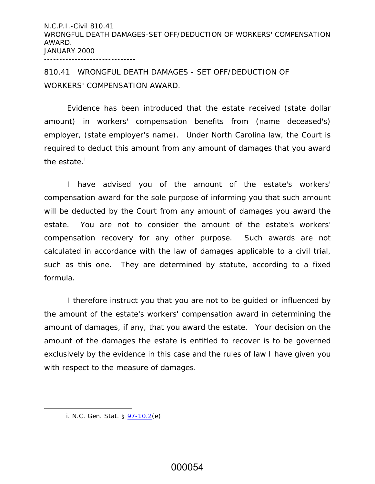### N.C.P.I.-Civil 810.41 WRONGFUL DEATH DAMAGES-SET OFF/DEDUCTION OF WORKERS' COMPENSATION AWARD. JANUARY 2000 ------------------------------

810.41 WRONGFUL DEATH DAMAGES - SET OFF/DEDUCTION OF WORKERS' COMPENSATION AWARD.

Evidence has been introduced that the estate received (*state dollar amount*) in workers' compensation benefits from (*name deceased's*) employer, (*state employer's name*). Under North Carolina law, the Court is required to deduct this amount from any amount of damages that you award the estate.<sup>[i](#page-53-0)</sup>

I have advised you of the amount of the estate's workers' compensation award for the sole purpose of informing you that such amount will be deducted by the Court from any amount of damages you award the estate. You are not to consider the amount of the estate's workers' compensation recovery for any other purpose. Such awards are not calculated in accordance with the law of damages applicable to a civil trial, such as this one. They are determined by statute, according to a fixed formula.

I therefore instruct you that you are not to be guided or influenced by the amount of the estate's workers' compensation award in determining the amount of damages, if any, that you award the estate. Your decision on the amount of the damages the estate is entitled to recover is to be governed exclusively by the evidence in this case and the rules of law I have given you with respect to the measure of damages.

<span id="page-53-0"></span>-

i. N.C. Gen. Stat. § [97-10.2\(](http://www.ncleg.net/EnactedLegislation/Statutes/HTML/BySection/Chapter_97/GS_97-10.2.html)e).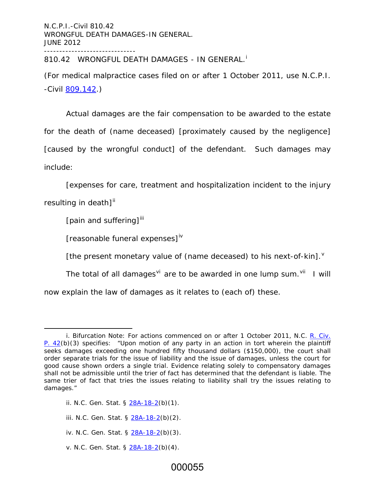### N.C.P.I.-Civil 810.42 WRONGFUL DEATH DAMAGES-IN GENERAL. JUNE 2012 ------------------------------

810.42 WRONGFUL DEATH DAMAGES - IN GENERAL.<sup>[i](#page-55-0)</sup>

*(For medical malpractice cases filed on or after 1 October 2011, use N.C.P.I. -Civil 809.142.)* 

Actual damages are the fair compensation to be awarded to the estate for the death of (*name deceased*) [proximately caused by the negligence] [caused by the wrongful conduct] of the defendant. Such damages may include:

[expenses for care, treatment and hospitalization incident to the injury resulting in death]<sup>[ii](#page-55-1)</sup>

[pain and suffering]<sup>[iii](#page-55-2)</sup>

[reasonable funeral expenses][iv](#page-55-3)

[the present monetary [v](#page-55-4)alue of *(name deceased)* to *his* next-of-kinl.<sup>v</sup>

The total of all damages<sup>[vi](#page-55-5)</sup> are to be awarded in one lump sum.  $\frac{v}{u}$  I will now explain the law of damages as it relates to (each of) these.

- ii. N.C. Gen. Stat. § [28A-18-2\(](http://www.ncleg.net/EnactedLegislation/Statutes/HTML/BySection/Chapter_28A/GS_28A-18-2.html)b)(1).
- iii. N.C. Gen. Stat. § [28A-18-2\(](http://www.ncleg.net/EnactedLegislation/Statutes/HTML/BySection/Chapter_28A/GS_28A-18-2.html)b)(2).
- iv. N.C. Gen. Stat. § [28A-18-2\(](http://www.ncleg.net/EnactedLegislation/Statutes/HTML/BySection/Chapter_28A/GS_28A-18-2.html)b)(3).
- v. N.C. Gen. Stat. § [28A-18-2\(](http://www.ncleg.net/EnactedLegislation/Statutes/HTML/BySection/Chapter_28A/GS_28A-18-2.html)b)(4).

 i. *Bifurcation Note*: For actions commenced on or after 1 October 2011, N.C. [R. Civ.](http://www.ncleg.net/EnactedLegislation/Statutes/HTML/BySection/Chapter_1A/GS_1A-1,_Rule_42.html)  P.  $42(b)(3)$  specifies: "Upon motion of any party in an action in tort wherein the plaintiff seeks damages exceeding one hundred fifty thousand dollars (\$150,000), the court shall order *separate trials for the issue of liability and the issue of damages, unless the court for good cause shown orders a single trial. Evidence relating solely to compensatory damages shall not be admissible until the trier of fact has determined that the defendant is liable.* The same trier of fact that tries the issues relating to liability shall try the issues relating to damages."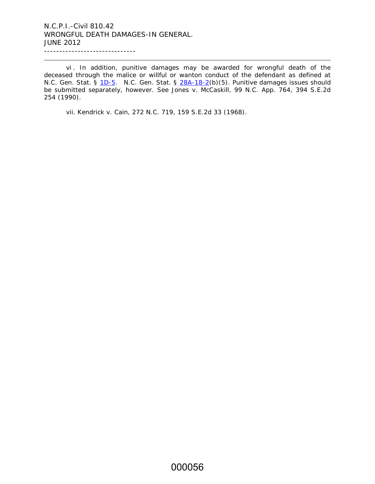------------------------------

-

<span id="page-55-6"></span><span id="page-55-5"></span>vi . In addition, punitive damages may be awarded for wrongful death of the deceased through the malice or willful or wanton conduct of the defendant as defined at N.C. Gen. Stat. § [1D-5.](http://www.ncleg.net/EnactedLegislation/Statutes/HTML/BySection/Chapter_1D/GS_1D-5.html) N.C. Gen. Stat. § [28A-18-2\(](http://www.ncleg.net/EnactedLegislation/Statutes/HTML/BySection/Chapter_28A/GS_28A-18-2.html)b)(5). Punitive damages issues should be submitted separately, however. *See Jones v. McCaskill*, 99 N.C. App. 764, 394 S.E.2d 254 (1990).

<span id="page-55-4"></span><span id="page-55-3"></span><span id="page-55-2"></span><span id="page-55-1"></span><span id="page-55-0"></span>vii. *Kendrick v. Cain*, 272 N.C. 719, 159 S.E.2d 33 (1968).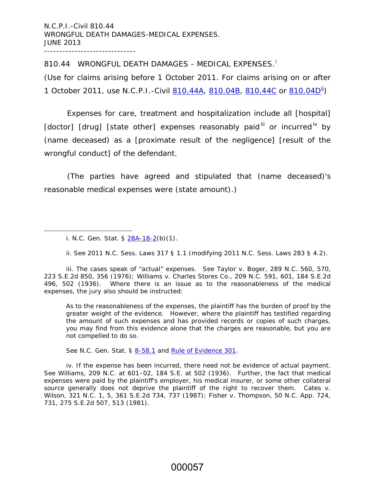------------------------------

810.44 WRONGFUL DEATH DAMAGES - MEDICAL EXPENSES.<sup>[i](#page-56-0)</sup>

*(Use for claims arising before 1 October 2011. For claims arising on or after 1 October 2011, use N.C.P.I.-Civil 810.44A, 810.04B, 810.44C or 810.04D[ii\)](#page-56-1)* 

Expenses for care, treatment and hospitalization include all [hospital] [doctor] [drug] [*state other*] expenses reasonably paid<sup>[iii](#page-56-2)</sup> or incurred<sup>[iv](#page-56-3)</sup> by (*name deceased*) as a [proximate result of the negligence] [result of the wrongful conduct] of the defendant.

(The parties have agreed and stipulated that (*name deceased*)'s reasonable medical expenses were (*state amount*).)

i. N.C. Gen. Stat. § [28A-18-2\(](http://www.ncleg.net/EnactedLegislation/Statutes/HTML/BySection/Chapter_28A/GS_28A-18-2.html)b)(1).

<span id="page-56-0"></span><u>.</u>

ii. *See* 2011 N.C. Sess. Laws 317 § 1.1 (modifying 2011 N.C. Sess. Laws 283 § 4.2).

<span id="page-56-2"></span><span id="page-56-1"></span>iii. The cases speak of "actual" expenses. *See Taylor v. Boger*, 289 N.C. 560, 570, 223 S.E.2d 850, 356 (1976); *Williams v. Charles Stores Co.*, 209 N.C. 591, 601, 184 S.E.2d 496, 502 (1936). Where there is an issue as to the reasonableness of the medical expenses, the jury also should be instructed:

As to the reasonableness of the expenses, the plaintiff has the burden of proof by the greater weight of the evidence. However, where the plaintiff has testified regarding the amount of such expenses and has provided records or copies of such charges, you may find from this evidence alone that the charges are reasonable, but you are not compelled to do so.

*See* N.C. Gen. Stat. § [8-58.1](http://www.ncleg.net/EnactedLegislation/Statutes/HTML/BySection/Chapter_8/GS_8-58.1.html) and [Rule of Evidence 301.](http://www.ncleg.net/EnactedLegislation/Statutes/HTML/BySection/Chapter_8C/GS_8C-301.html)

<span id="page-56-3"></span>iv. If the expense has been incurred, there need not be evidence of actual payment. *See Williams*, 209 N.C. at 601–02, 184 S.E. at 502 (1936). Further, the fact that medical expenses were paid by the plaintiff's employer, his medical insurer, or some other collateral source generally does not deprive the plaintiff of the right to recover them. *Cates v. Wilson*, 321 N.C. 1, 5, 361 S.E.2d 734, 737 (1987); *Fisher v. Thompson*, 50 N.C. App. 724, 731, 275 S.E.2d 507, 513 (1981).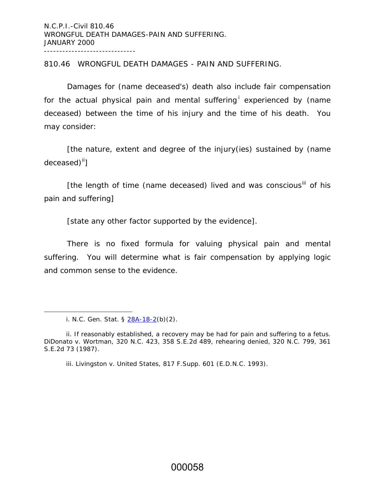N.C.P.I.-Civil 810.46 WRONGFUL DEATH DAMAGES-PAIN AND SUFFERING. JANUARY 2000

------------------------------

# 810.46 WRONGFUL DEATH DAMAGES - PAIN AND SUFFERING.

Damages for (*name deceased's*) death also include fair compensation for the actual phys[i](#page-57-0)cal pain and mental suffering<sup>1</sup> experienced by (*name deceased*) between the time of *his* injury and the time of *his* death. You may consider:

[the nature, extent and degree of the injury(ies) sustained by (*name deceased*)<sup>[ii](#page-57-1)</sup>l

[the length of time (name deceased) lived and was conscious<sup>[iii](#page-57-2)</sup> of his pain and suffering]

[*state any other factor supported by the evidence*].

There is no fixed formula for valuing physical pain and mental suffering. You will determine what is fair compensation by applying logic and common sense to the evidence.

<span id="page-57-0"></span>-

iii. *Livingston v. United States*, 817 F.Supp. 601 (E.D.N.C. 1993).

i. N.C. Gen. Stat. § [28A-18-2\(](http://www.ncleg.net/EnactedLegislation/Statutes/HTML/BySection/Chapter_28A/GS_28A-18-2.html)b)(2).

<span id="page-57-2"></span><span id="page-57-1"></span>ii. If reasonably established, a recovery may be had for pain and suffering to a fetus. *DiDonato v. Wortman*, 320 N.C. 423, 358 S.E.2d 489, *rehearing denied*, 320 N.C. 799, 361 S.E.2d 73 (1987).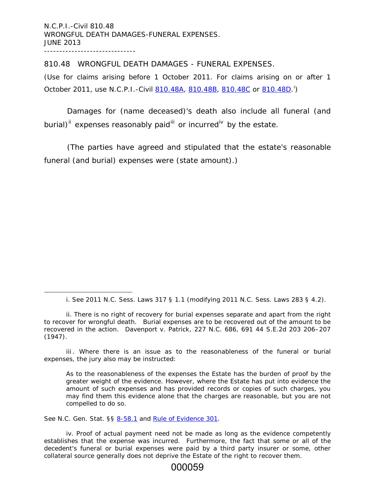------------------------------

<u>.</u>

### 810.48 WRONGFUL DEATH DAMAGES - FUNERAL EXPENSES.

*(Use for claims arising before 1 October 2011. For claims arising on or after 1 October 2011, use N.C.P.I.-Civil 810.48A, 810.48B, 810.48C or 810.48D. [i](#page-59-0) )* 

Damages for (*name deceased*)'s death also include all funeral (and burial)<sup>[ii](#page-59-1)</sup> expenses reasonably paid<sup>[iii](#page-59-2)</sup> or incurred<sup>[iv](#page-59-3)</sup> by the estate.

(The parties have agreed and stipulated that the estate's reasonable funeral (and burial) expenses were (*state amount*).)

iii . Where there is an issue as to the reasonableness of the funeral or burial expenses, the jury also may be instructed:

As to the reasonableness of the expenses the Estate has the burden of proof by the greater weight of the evidence. However, where the Estate has put into evidence the amount of such expenses and has provided records or copies of such charges, you may find them this evidence alone that the charges are reasonable, but you are not compelled to do so.

*See* N.C. Gen. Stat. §§ [8-58.1](http://www.ncleg.net/EnactedLegislation/Statutes/HTML/BySection/Chapter_8/GS_8-58.1.html) and [Rule of Evidence 301.](http://www.ncleg.net/EnactedLegislation/Statutes/HTML/BySection/Chapter_8C/GS_8C-301.html)

iv. Proof of actual payment need not be made as long as the evidence competently establishes that the expense was incurred. Furthermore, the fact that some or all of the decedent's funeral or burial expenses were paid by a third party insurer or some, other collateral source generally does not deprive the Estate of the right to recover them.

i. *See* 2011 N.C. Sess. Laws 317 § 1.1 (modifying 2011 N.C. Sess. Laws 283 § 4.2).

ii. There is no right of recovery for burial expenses separate and apart from the right to recover for wrongful death. Burial expenses are to be recovered out of the amount to be recovered in the action. *Davenport v. Patrick*, 227 N.C. 686, 691 44 S.E.2d 203 206–207 (1947).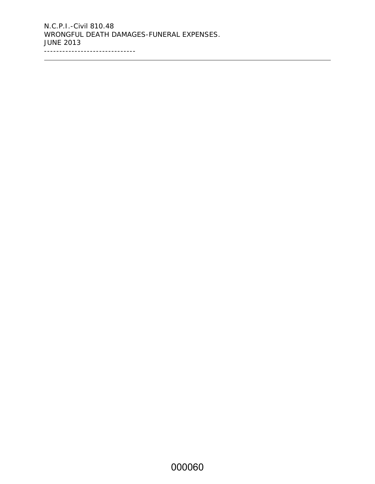# N.C.P.I.-Civil 810.48 WRONGFUL DEATH DAMAGES-FUNERAL EXPENSES. JUNE 2013

------------------------------

<span id="page-59-3"></span><span id="page-59-2"></span><span id="page-59-1"></span><span id="page-59-0"></span>-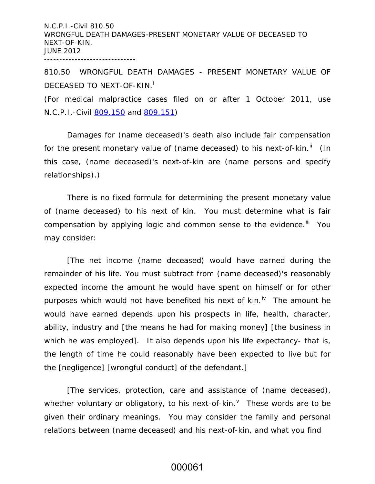#### N.C.P.I.-Civil 810.50 WRONGFUL DEATH DAMAGES-PRESENT MONETARY VALUE OF DECEASED TO NEXT-OF-KIN. JUNE 2012  $-$

810.50 WRONGFUL DEATH DAMAGES - PRESENT MONETARY VALUE OF DECEASED TO NEXT-OF-KIN.<sup>1</sup>

*(For medical malpractice cases filed on or after 1 October 2011, use N.C.P.I.-Civil 809.150 and 809.151)*

Damages for (*name deceased*)'s death also include fair compensation for the present monetary value of (name deceased) to his next-of-kin.<sup>[ii](#page-63-1)</sup> (In this case, (*name deceased*)'s next-of-kin are (*name persons and specify relationships*).)

There is no fixed formula for determining the present monetary value of (*name deceased*) to *his* next of kin. You must determine what is fair compensation by applying logic and common sense to the evidence.<sup>iii</sup> You may consider:

[The net income (*name deceased*) would have earned during the remainder of *his* life. You must subtract from (*name deceased*)'s reasonably expected income the amount *he* would have spent on *himself* or for other purposes which would not have benefited *his* next of kin.<sup>[iv](#page-63-3)</sup> The amount *he* would have earned depends upon *his* prospects in life, health, character, ability, industry and [the means *he* had for making money] [the business in which *he* was employed]. It also depends upon *his* life expectancy- that is, the length of time *he* could reasonably have been expected to live but for the [negligence] [wrongful conduct] of the defendant.]

[The services, protection, care and assistance of (*name deceased*), whether [v](#page-63-4)oluntary or obligatory, to his next-of-kin. Y These words are to be given their ordinary meanings. You may consider the family and personal relations between (*name deceased*) and *his* next-of-kin, and what you find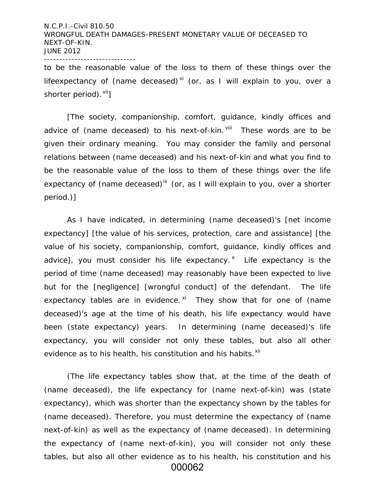#### N.C.P.I.-Civil 810.50 WRONGFUL DEATH DAMAGES-PRESENT MONETARY VALUE OF DECEASED TO NEXT-OF-KIN. JUNE 2012 ------------------------------

to be the reasonable value of the loss to them of these things over the lifeexpectancy of (*name deceased*)<sup>[vi](#page-63-5)</sup> (or, as I will explain to you, over a shorter period). Vii

[The society, companionship, comfort, guidance, kindly offices and advice of (*name deceased*) to *his* next-of-kin. Vill These words are to be given their ordinary meaning. You may consider the family and personal relations between (*name deceased*) and *his* next-of-kin and what you find to be the reasonable value of the loss to them of these things over the life expectancy of (*name deceased*)<sup>[ix](#page-63-8)</sup> (or, as I will explain to you, over a shorter period.)]

As I have indicated, in determining (*name deceased*)'s [net income expectancy] [the value of *his* services, protection, care and assistance] [the value of *his* society, companionship, comfort, guidance, kindly offices and advice], you must consider *his* life e[x](#page-63-9)pectancy.<sup>x</sup> Life expectancy is the period of time (*name deceased*) may reasonably have been expected to live but for the [negligence] [wrongful conduct] of the defendant. The life expectancy tables are in evidence. <sup>[xi](#page-63-10)</sup> They show that for one of (*name deceased*)'s age at the time of *his* death, *his* life expectancy would have been (*state expectancy*) years. In determining (*name deceased*)'s life expectancy, you will consider not only these tables, but also all other evidence as to *his* health, *his* constitution and *his* habits.<sup>[xii](#page-63-11)</sup>

(The life expectancy tables show that, at the time of the death of (*name deceased*), the life expectancy for (*name next-of-kin*) was (*state expectancy*), which was shorter than the expectancy shown by the tables for (*name deceased*). Therefore, you must determine the expectancy of (*name next-of-kin*) as well as the expectancy of (*name deceased*). In determining the expectancy of (*name next-of-kin*), you will consider not only these tables, but also all other evidence as to *his* health, *his* constitution and *his* 000062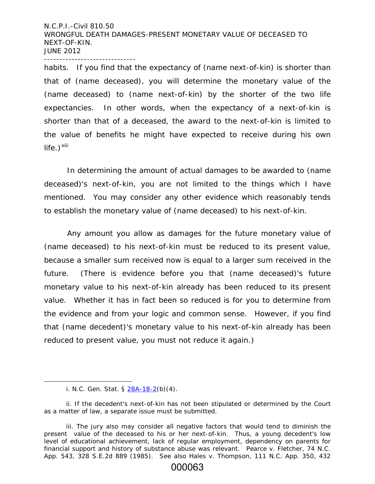# N.C.P.I.-Civil 810.50 WRONGFUL DEATH DAMAGES-PRESENT MONETARY VALUE OF DECEASED TO NEXT-OF-KIN. JUNE 2012

------------------------------

habits. If you find that the expectancy of (*name next-of-kin*) is shorter than that of (*name deceased*), you will determine the monetary value of the (*name deceased*) to (*name next-of-kin*) by the shorter of the two life expectancies. In other words, when the expectancy of a next-of-kin is shorter than that of a deceased, the award to the next-of-kin is limited to the value of benefits *he* might have expected to receive during *his* own  $life.$ ) $x$ iii

In determining the amount of actual damages to be awarded to (*name deceased*)'s next-of-kin, you are not limited to the things which I have mentioned. You may consider any other evidence which reasonably tends to establish the monetary value of (*name deceased*) to *his* next-of-kin.

Any amount you allow as damages for the future monetary value of (*name deceased*) to *his* next-of-kin must be reduced to its present value, because a smaller sum received now is equal to a larger sum received in the future. (There is evidence before you that (*name deceased*)'s future monetary value to *his* next-of-kin already has been reduced to its present value. Whether it has in fact been so reduced is for you to determine from the evidence and from your logic and common sense. However, if you find that (*name decedent*)'s monetary value to *his* next-of-kin already has been reduced to present value, you must not reduce it again.)

-

i. N.C. Gen. Stat. § [28A-18-2\(](http://www.ncleg.net/EnactedLegislation/Statutes/HTML/BySection/Chapter_28A/GS_28A-18-2.html)b)(4).

ii. If the decedent's next-of-kin has not been stipulated or determined by the Court as a matter of law, a separate issue must be submitted.

iii. The jury also may consider all negative factors that would tend to diminish the present value of the deceased to his or her next-of-kin. Thus, a young decedent's low level of educational achievement, lack of regular employment, dependency on parents for financial support and history of substance abuse was relevant. *Pearce v. Fletcher*, 74 N.C. App. 543, 328 S.E.2d 889 (1985). *See also Hales v. Thompson*, 111 N.C. App. 350, 432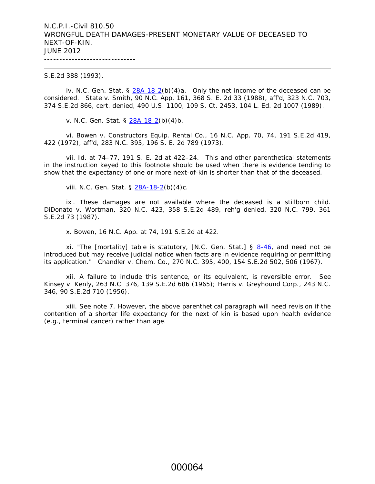-S.E.2d 388 (1993).

<span id="page-63-3"></span>iv. N.C. Gen. Stat.  $\S 28A-18-2(b)(4)a$  $\S 28A-18-2(b)(4)a$  $\S 28A-18-2(b)(4)a$ . Only the net income of the deceased can be considered. *State v. Smith*, 90 N.C. App. 161, 368 S. E. 2d 33 (1988), *aff'd*, 323 N.C. 703, 374 S.E.2d 866, *cert. denied*, 490 U.S. 1100, 109 S. Ct. 2453, 104 L. Ed. 2d 1007 (1989).

v. N.C. Gen. Stat. § [28A-18-2\(](http://www.ncleg.net/EnactedLegislation/Statutes/HTML/BySection/Chapter_28A/GS_28A-18-2.html)b)(4)b.

<span id="page-63-5"></span><span id="page-63-4"></span>vi. *Bowen v. Constructors Equip. Rental Co.*, 16 N.C. App. 70, 74, 191 S.E.2d 419, 422 (1972), *aff'd*, 283 N.C. 395, 196 S. E. 2d 789 (1973).

<span id="page-63-6"></span>vii. *Id*. at 74–77, 191 S. E. 2d at 422–24. This and other parenthetical statements in the instruction keyed to this footnote should be used when there is evidence tending to show that the expectancy of one or more next-of-kin is shorter than that of the deceased.

viii. N.C. Gen. Stat. § [28A-18-2\(](http://www.ncleg.net/EnactedLegislation/Statutes/HTML/BySection/Chapter_28A/GS_28A-18-2.html)b)(4)c.

<span id="page-63-8"></span><span id="page-63-7"></span>ix . These damages are not available where the deceased is a stillborn child. *DiDonato v. Wortman*, 320 N.C. 423, 358 S.E.2d 489, *reh'g denied*, 320 N.C. 799, 361 S.E.2d 73 (1987).

x. *Bowen*, 16 N.C. App. at 74, 191 S.E.2d at 422.

<span id="page-63-10"></span><span id="page-63-9"></span>xi. "The [mortality] table is statutory, [N.C. Gen. Stat.]  $\S$  [8-46,](http://www.ncleg.net/EnactedLegislation/Statutes/HTML/BySection/Chapter_8/GS_8-46.html) and need not be introduced but may receive judicial notice when facts are in evidence requiring or permitting its application." *Chandler v. Chem. Co.*, 270 N.C. 395, 400, 154 S.E.2d 502, 506 (1967).

<span id="page-63-11"></span>xii. A failure to include this sentence, or its equivalent, is reversible error. *See Kinsey v. Kenly*, 263 N.C. 376, 139 S.E.2d 686 (1965); *Harris v. Greyhound Corp.*, 243 N.C. 346, 90 S.E.2d 710 (1956).

<span id="page-63-12"></span><span id="page-63-2"></span><span id="page-63-1"></span><span id="page-63-0"></span>xiii. *See* note 7. However, the above parenthetical paragraph will need revision if the contention of a shorter life expectancy for the next of kin is based upon health evidence (*e.g.*, terminal cancer) rather than age.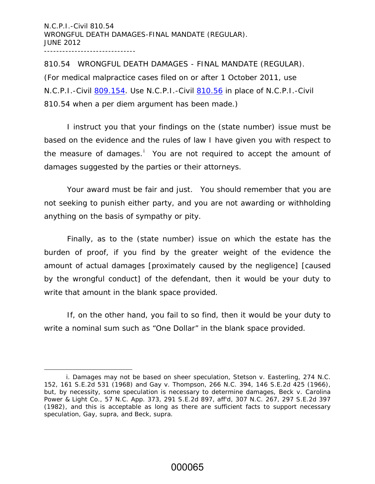------------------------------

<u>.</u>

810.54 WRONGFUL DEATH DAMAGES - FINAL MANDATE (REGULAR). *(For medical malpractice cases filed on or after 1 October 2011, use N.C.P.I.-Civil 809.154. Use N.C.P.I.-Civil 810.56 in place of N.C.P.I.-Civil 810.54 when a* per diem *argument has been made.)* 

I instruct you that your findings on the (*state number*) issue must be based on the evidence and the rules of law I have given you with respect to the measure of damages.<sup>[i](#page-64-0)</sup> You are not required to accept the amount of damages suggested by the parties or their attorneys.

Your award must be fair and just. You should remember that you are not seeking to punish either party, and you are not awarding or withholding anything on the basis of sympathy or pity.

Finally, as to the (*state number*) issue on which the estate has the burden of proof, if you find by the greater weight of the evidence the amount of actual damages [proximately caused by the negligence] [caused by the wrongful conduct] of the defendant, then it would be your duty to write that amount in the blank space provided.

If, on the other hand, you fail to so find, then it would be your duty to write a nominal sum such as "One Dollar" in the blank space provided.

<span id="page-64-0"></span>i. Damages may not be based on sheer speculation, *Stetson v. Easterling*, 274 N.C. 152, 161 S.E.2d 531 (1968) and *Gay v. Thompson*, 266 N.C. 394, 146 S.E.2d 425 (1966), but, by necessity, some speculation is necessary to determine damages, *Beck v. Carolina Power & Light Co.*, 57 N.C. App. 373, 291 S.E.2d 897, *aff'd*, 307 N.C. 267, 297 S.E.2d 397 (1982), and this is acceptable as long as there are sufficient facts to support necessary speculation, *Gay*, *supra*, and *Beck*, *supra*.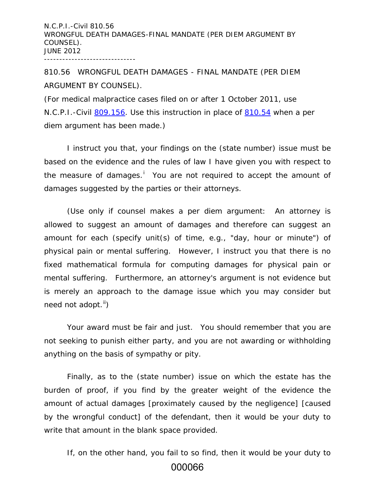# N.C.P.I.-Civil 810.56 WRONGFUL DEATH DAMAGES-FINAL MANDATE (*PER DIEM* ARGUMENT BY COUNSEL). JUNE 2012

 $-$ 

# 810.56 WRONGFUL DEATH DAMAGES - FINAL MANDATE (*PER DIEM* ARGUMENT BY COUNSEL).

*(For medical malpractice cases filed on or after 1 October 2011, use N.C.P.I.-Civil 809.156. Use this instruction in place of 810.54 when a* per diem *argument has been made.)* 

I instruct you that, your findings on the (*state number*) issue must be based on the evidence and the rules of law I have given you with respect to the measure of damages.<sup>[i](#page-67-0)</sup> You are not required to accept the amount of damages suggested by the parties or their attorneys.

(*Use only if counsel makes a per diem argument:* An attorney is allowed to suggest an amount of damages and therefore can suggest an amount for each (*specify unit(s) of time, e.g., "day, hour or minute"*) of physical pain or mental suffering. However, I instruct you that there is no fixed mathematical formula for computing damages for physical pain or mental suffering. Furthermore, an attorney's argument is not evidence but is merely an approach to the damage issue which you may consider but need not adopt. $\mathsf{ii}$ )

Your award must be fair and just. You should remember that you are not seeking to punish either party, and you are not awarding or withholding anything on the basis of sympathy or pity.

Finally, as to the (*state number*) issue on which the estate has the burden of proof, if you find by the greater weight of the evidence the amount of actual damages [proximately caused by the negligence] [caused by the wrongful conduct] of the defendant, then it would be your duty to write that amount in the blank space provided.

If, on the other hand, you fail to so find, then it would be your duty to 000066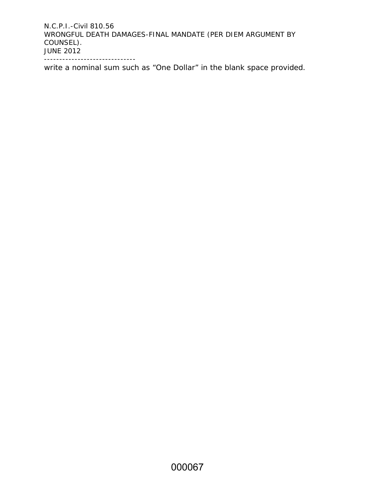N.C.P.I.-Civil 810.56 WRONGFUL DEATH DAMAGES-FINAL MANDATE (*PER DIEM* ARGUMENT BY COUNSEL). JUNE 2012 ------------------------------

write a nominal sum such as "One Dollar" in the blank space provided.